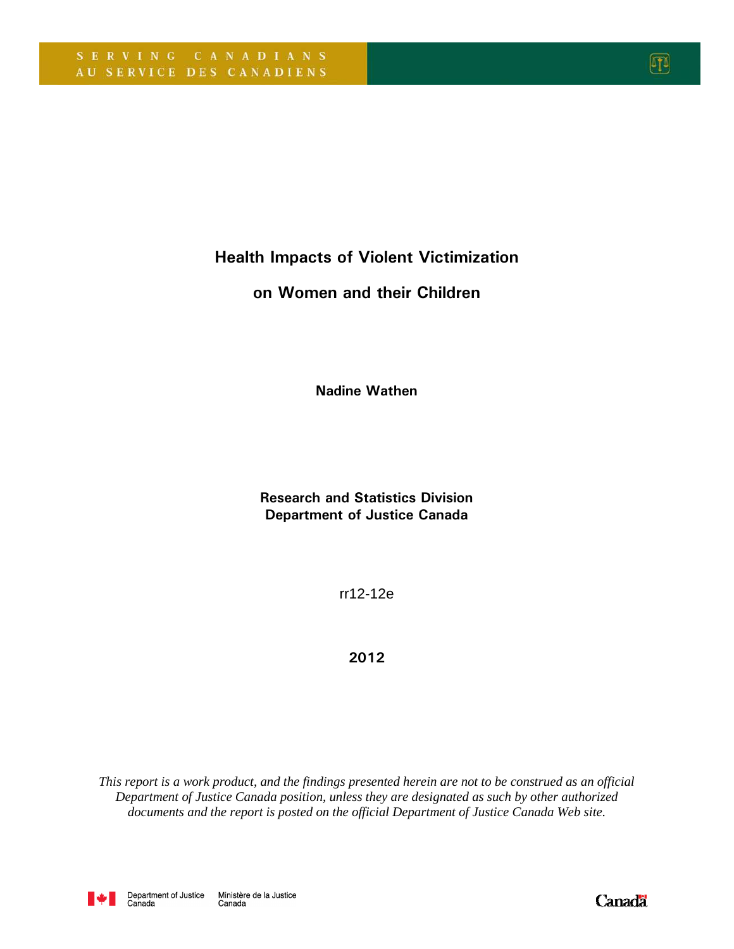Health Impacts of Violent Victimization

## on Women and their Children

Nadine Wathen

Research and Statistics Division Department of Justice Canada

rr12-12e

2012

*This report is a work product, and the findings presented herein are not to be construed as an official Department of Justice Canada position, unless they are designated as such by other authorized documents and the report is posted on the official Department of Justice Canada Web site.* 



网

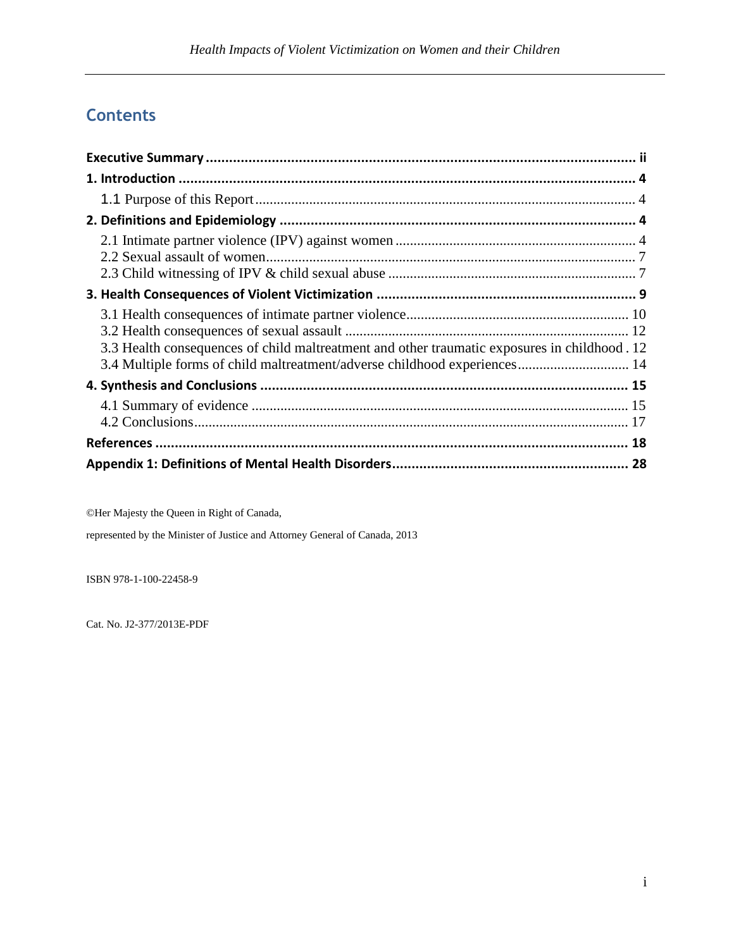# **Contents**

| 3.3 Health consequences of child maltreatment and other traumatic exposures in childhood . 12<br>3.4 Multiple forms of child maltreatment/adverse childhood experiences 14 |  |
|----------------------------------------------------------------------------------------------------------------------------------------------------------------------------|--|
|                                                                                                                                                                            |  |
|                                                                                                                                                                            |  |
|                                                                                                                                                                            |  |
|                                                                                                                                                                            |  |

©Her Majesty the Queen in Right of Canada,

represented by the Minister of Justice and Attorney General of Canada, 2013

ISBN 978-1-100-22458-9

Cat. No. J2-377/2013E-PDF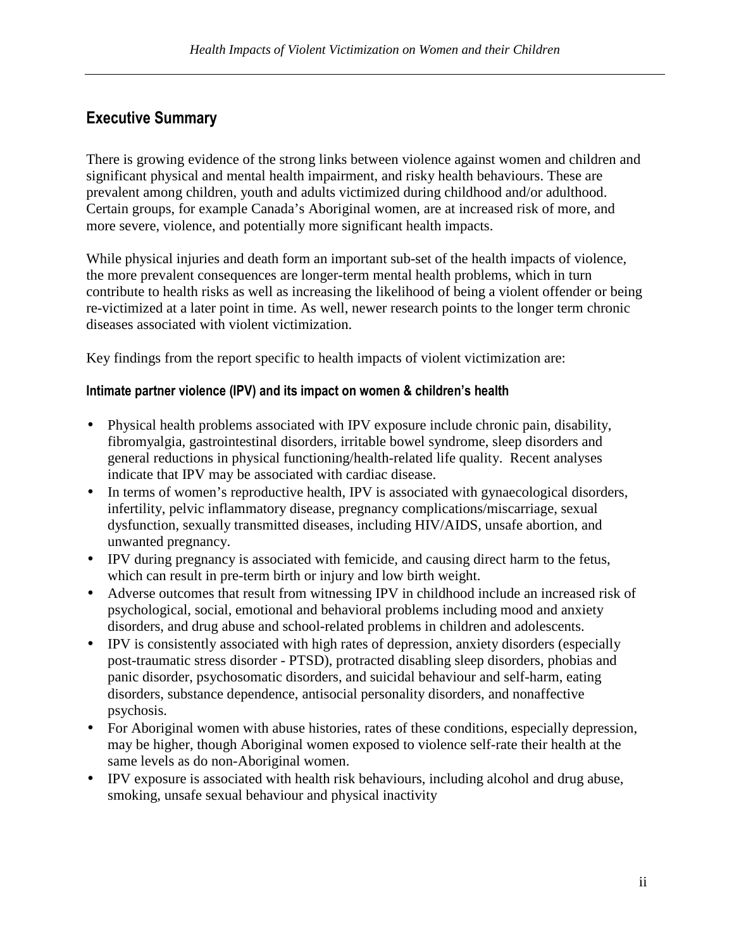# Executive Summary

There is growing evidence of the strong links between violence against women and children and significant physical and mental health impairment, and risky health behaviours. These are prevalent among children, youth and adults victimized during childhood and/or adulthood. Certain groups, for example Canada's Aboriginal women, are at increased risk of more, and more severe, violence, and potentially more significant health impacts.

While physical injuries and death form an important sub-set of the health impacts of violence, the more prevalent consequences are longer-term mental health problems, which in turn contribute to health risks as well as increasing the likelihood of being a violent offender or being re-victimized at a later point in time. As well, newer research points to the longer term chronic diseases associated with violent victimization.

Key findings from the report specific to health impacts of violent victimization are:

#### Intimate partner violence (IPV) and its impact on women & children's health

- Physical health problems associated with IPV exposure include chronic pain, disability, fibromyalgia, gastrointestinal disorders, irritable bowel syndrome, sleep disorders and general reductions in physical functioning/health-related life quality. Recent analyses indicate that IPV may be associated with cardiac disease.
- In terms of women's reproductive health, IPV is associated with gynaecological disorders, infertility, pelvic inflammatory disease, pregnancy complications/miscarriage, sexual dysfunction, sexually transmitted diseases, including HIV/AIDS, unsafe abortion, and unwanted pregnancy.
- IPV during pregnancy is associated with femicide, and causing direct harm to the fetus, which can result in pre-term birth or injury and low birth weight.
- Adverse outcomes that result from witnessing IPV in childhood include an increased risk of psychological, social, emotional and behavioral problems including mood and anxiety disorders, and drug abuse and school-related problems in children and adolescents.
- IPV is consistently associated with high rates of depression, anxiety disorders (especially post-traumatic stress disorder - PTSD), protracted disabling sleep disorders, phobias and panic disorder, psychosomatic disorders, and suicidal behaviour and self-harm, eating disorders, substance dependence, antisocial personality disorders, and nonaffective psychosis.
- For Aboriginal women with abuse histories, rates of these conditions, especially depression, may be higher, though Aboriginal women exposed to violence self-rate their health at the same levels as do non-Aboriginal women.
- IPV exposure is associated with health risk behaviours, including alcohol and drug abuse, smoking, unsafe sexual behaviour and physical inactivity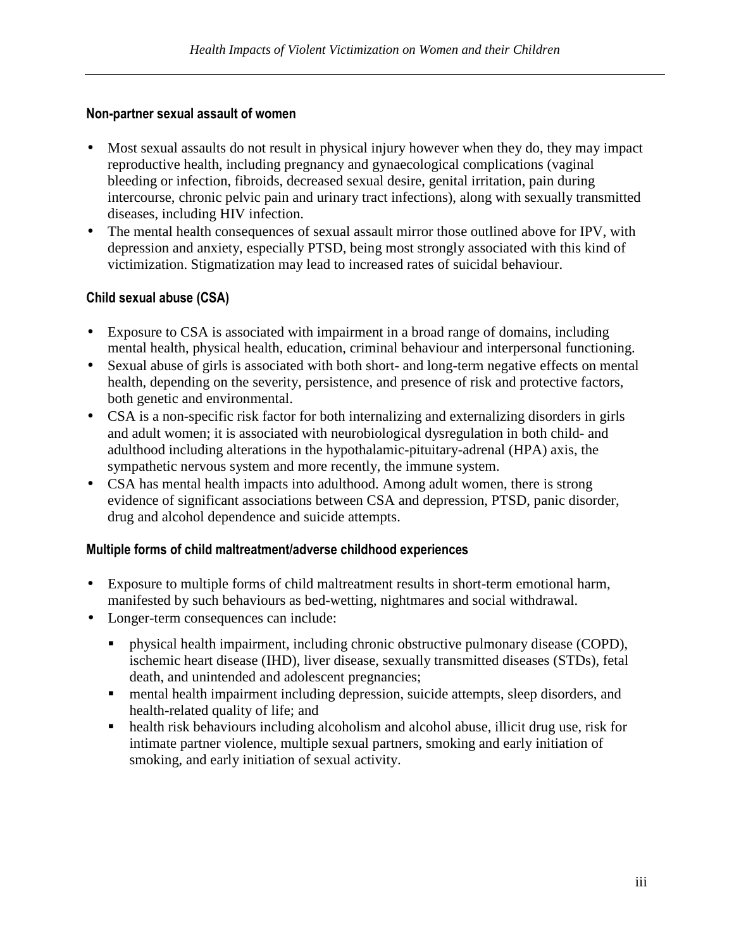#### Non-partner sexual assault of women

- Most sexual assaults do not result in physical injury however when they do, they may impact reproductive health, including pregnancy and gynaecological complications (vaginal bleeding or infection, fibroids, decreased sexual desire, genital irritation, pain during intercourse, chronic pelvic pain and urinary tract infections), along with sexually transmitted diseases, including HIV infection.
- The mental health consequences of sexual assault mirror those outlined above for IPV, with depression and anxiety, especially PTSD, being most strongly associated with this kind of victimization. Stigmatization may lead to increased rates of suicidal behaviour.

#### Child sexual abuse (CSA)

- Exposure to CSA is associated with impairment in a broad range of domains, including mental health, physical health, education, criminal behaviour and interpersonal functioning.
- Sexual abuse of girls is associated with both short- and long-term negative effects on mental health, depending on the severity, persistence, and presence of risk and protective factors, both genetic and environmental.
- CSA is a non-specific risk factor for both internalizing and externalizing disorders in girls and adult women; it is associated with neurobiological dysregulation in both child- and adulthood including alterations in the hypothalamic-pituitary-adrenal (HPA) axis, the sympathetic nervous system and more recently, the immune system.
- CSA has mental health impacts into adulthood. Among adult women, there is strong evidence of significant associations between CSA and depression, PTSD, panic disorder, drug and alcohol dependence and suicide attempts.

#### Multiple forms of child maltreatment/adverse childhood experiences

- Exposure to multiple forms of child maltreatment results in short-term emotional harm, manifested by such behaviours as bed-wetting, nightmares and social withdrawal.
- Longer-term consequences can include:
	- physical health impairment, including chronic obstructive pulmonary disease (COPD), ischemic heart disease (IHD), liver disease, sexually transmitted diseases (STDs), fetal death, and unintended and adolescent pregnancies;
	- mental health impairment including depression, suicide attempts, sleep disorders, and health-related quality of life; and
	- health risk behaviours including alcoholism and alcohol abuse, illicit drug use, risk for intimate partner violence, multiple sexual partners, smoking and early initiation of smoking, and early initiation of sexual activity.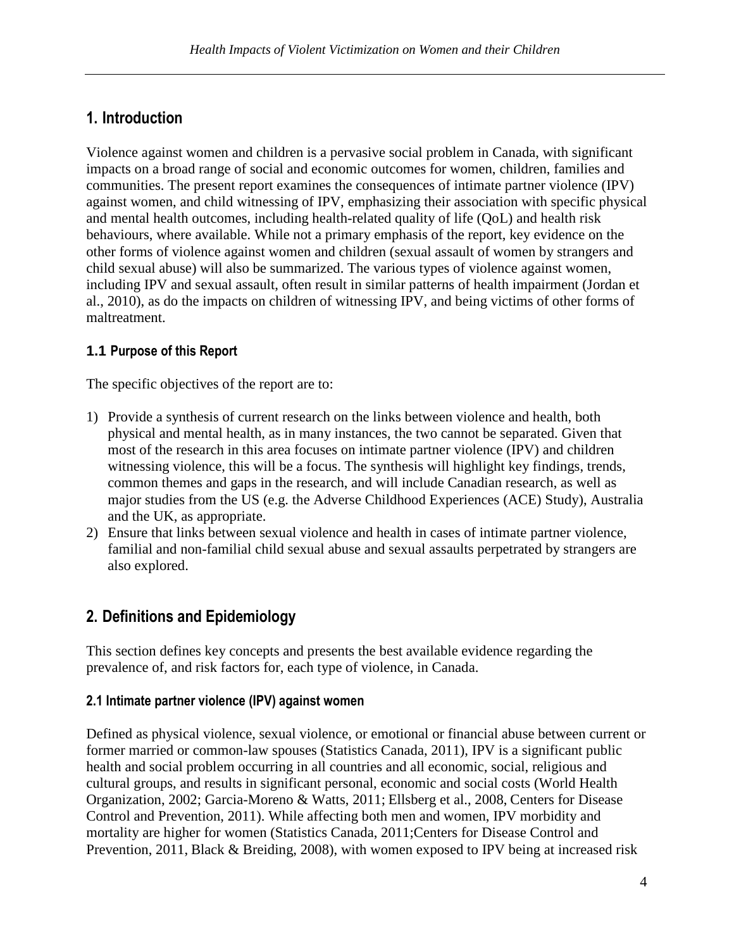# 1. Introduction

Violence against women and children is a pervasive social problem in Canada, with significant impacts on a broad range of social and economic outcomes for women, children, families and communities. The present report examines the consequences of intimate partner violence (IPV) against women, and child witnessing of IPV, emphasizing their association with specific physical and mental health outcomes, including health-related quality of life (QoL) and health risk behaviours, where available. While not a primary emphasis of the report, key evidence on the other forms of violence against women and children (sexual assault of women by strangers and child sexual abuse) will also be summarized. The various types of violence against women, including IPV and sexual assault, often result in similar patterns of health impairment (Jordan et al., 2010), as do the impacts on children of witnessing IPV, and being victims of other forms of maltreatment.

## **1.1** Purpose of this Report

The specific objectives of the report are to:

- 1) Provide a synthesis of current research on the links between violence and health, both physical and mental health, as in many instances, the two cannot be separated. Given that most of the research in this area focuses on intimate partner violence (IPV) and children witnessing violence, this will be a focus. The synthesis will highlight key findings, trends, common themes and gaps in the research, and will include Canadian research, as well as major studies from the US (e.g. the Adverse Childhood Experiences (ACE) Study), Australia and the UK, as appropriate.
- 2) Ensure that links between sexual violence and health in cases of intimate partner violence, familial and non-familial child sexual abuse and sexual assaults perpetrated by strangers are also explored.

# 2. Definitions and Epidemiology

This section defines key concepts and presents the best available evidence regarding the prevalence of, and risk factors for, each type of violence, in Canada.

#### 2.1 Intimate partner violence (IPV) against women

Defined as physical violence, sexual violence, or emotional or financial abuse between current or former married or common-law spouses (Statistics Canada, 2011), IPV is a significant public health and social problem occurring in all countries and all economic, social, religious and cultural groups, and results in significant personal, economic and social costs (World Health Organization, 2002; Garcia-Moreno & Watts, 2011; Ellsberg et al., 2008, Centers for Disease Control and Prevention, 2011). While affecting both men and women, IPV morbidity and mortality are higher for women (Statistics Canada, 2011;Centers for Disease Control and Prevention, 2011, Black & Breiding, 2008), with women exposed to IPV being at increased risk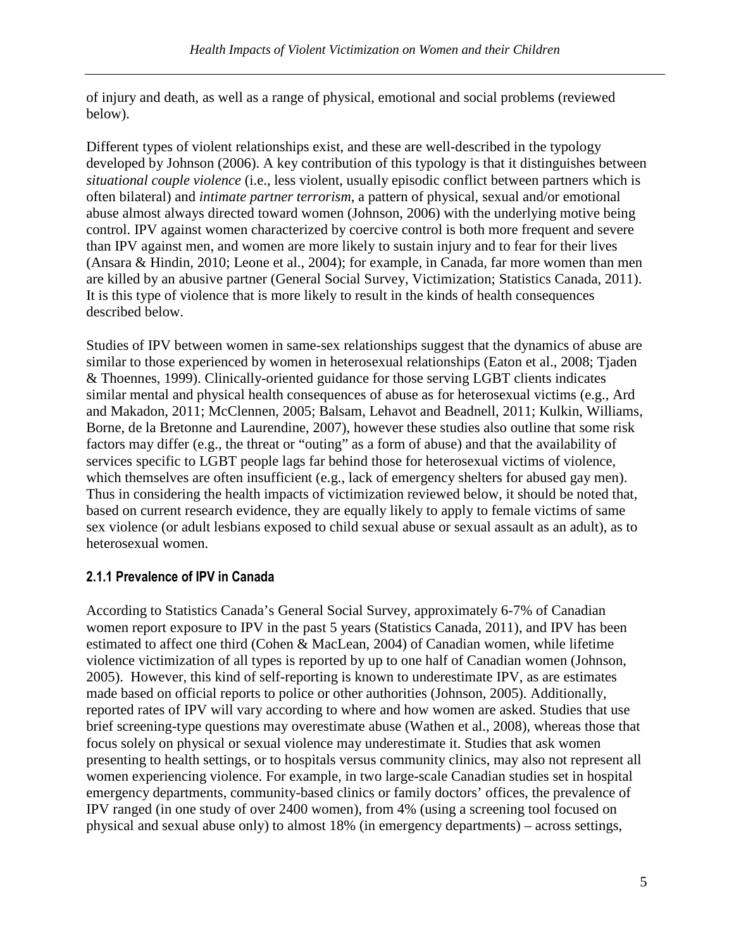of injury and death, as well as a range of physical, emotional and social problems (reviewed below).

Different types of violent relationships exist, and these are well-described in the typology developed by Johnson (2006). A key contribution of this typology is that it distinguishes between *situational couple violence* (i.e., less violent, usually episodic conflict between partners which is often bilateral) and *intimate partner terrorism*, a pattern of physical, sexual and/or emotional abuse almost always directed toward women (Johnson, 2006) with the underlying motive being control. IPV against women characterized by coercive control is both more frequent and severe than IPV against men, and women are more likely to sustain injury and to fear for their lives (Ansara & Hindin, 2010; Leone et al., 2004); for example, in Canada, far more women than men are killed by an abusive partner (General Social Survey, Victimization; Statistics Canada, 2011). It is this type of violence that is more likely to result in the kinds of health consequences described below.

Studies of IPV between women in same-sex relationships suggest that the dynamics of abuse are similar to those experienced by women in heterosexual relationships (Eaton et al., 2008; Tiaden & Thoennes, 1999). Clinically-oriented guidance for those serving LGBT clients indicates similar mental and physical health consequences of abuse as for heterosexual victims (e.g., Ard and Makadon, 2011; McClennen, 2005; Balsam, Lehavot and Beadnell, 2011; Kulkin, Williams, Borne, de la Bretonne and Laurendine, 2007), however these studies also outline that some risk factors may differ (e.g., the threat or "outing" as a form of abuse) and that the availability of services specific to LGBT people lags far behind those for heterosexual victims of violence, which themselves are often insufficient (e.g., lack of emergency shelters for abused gay men). Thus in considering the health impacts of victimization reviewed below, it should be noted that, based on current research evidence, they are equally likely to apply to female victims of same sex violence (or adult lesbians exposed to child sexual abuse or sexual assault as an adult), as to heterosexual women.

## 2.1.1 Prevalence of IPV in Canada

According to Statistics Canada's General Social Survey, approximately 6-7% of Canadian women report exposure to IPV in the past 5 years (Statistics Canada, 2011), and IPV has been estimated to affect one third (Cohen & MacLean, 2004) of Canadian women, while lifetime violence victimization of all types is reported by up to one half of Canadian women (Johnson, 2005). However, this kind of self-reporting is known to underestimate IPV, as are estimates made based on official reports to police or other authorities (Johnson, 2005). Additionally, reported rates of IPV will vary according to where and how women are asked. Studies that use brief screening-type questions may overestimate abuse (Wathen et al., 2008), whereas those that focus solely on physical or sexual violence may underestimate it. Studies that ask women presenting to health settings, or to hospitals versus community clinics, may also not represent all women experiencing violence. For example, in two large-scale Canadian studies set in hospital emergency departments, community-based clinics or family doctors' offices, the prevalence of IPV ranged (in one study of over 2400 women), from 4% (using a screening tool focused on physical and sexual abuse only) to almost 18% (in emergency departments) – across settings,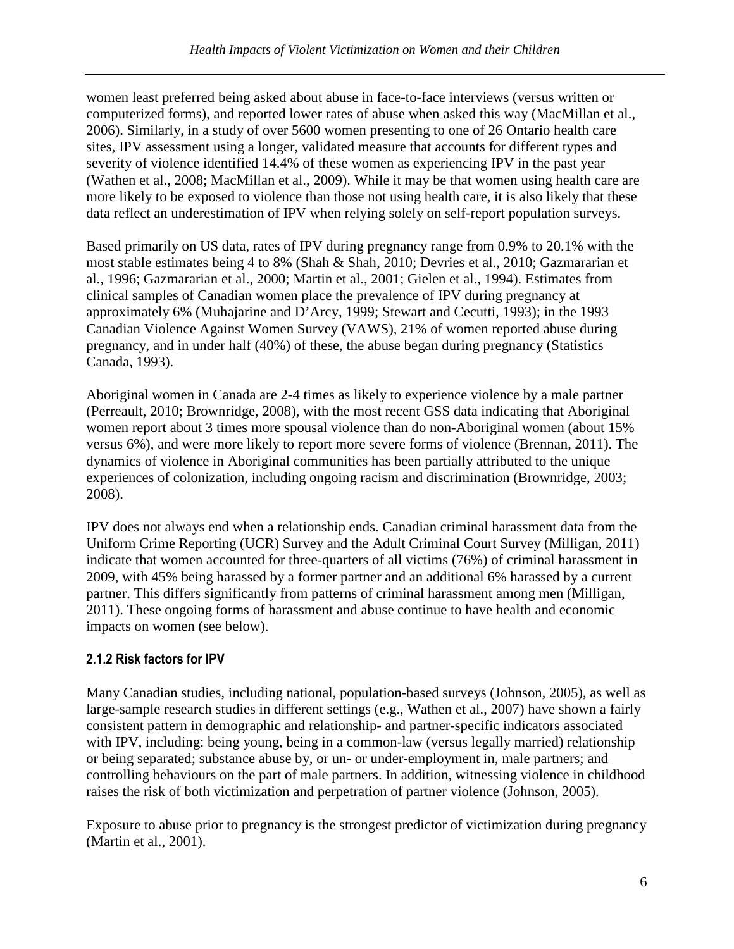women least preferred being asked about abuse in face-to-face interviews (versus written or computerized forms), and reported lower rates of abuse when asked this way (MacMillan et al., 2006). Similarly, in a study of over 5600 women presenting to one of 26 Ontario health care sites, IPV assessment using a longer, validated measure that accounts for different types and severity of violence identified 14.4% of these women as experiencing IPV in the past year (Wathen et al., 2008; MacMillan et al., 2009). While it may be that women using health care are more likely to be exposed to violence than those not using health care, it is also likely that these data reflect an underestimation of IPV when relying solely on self-report population surveys.

Based primarily on US data, rates of IPV during pregnancy range from 0.9% to 20.1% with the most stable estimates being 4 to 8% (Shah & Shah, 2010; Devries et al., 2010; Gazmararian et al., 1996; Gazmararian et al., 2000; Martin et al., 2001; Gielen et al., 1994). Estimates from clinical samples of Canadian women place the prevalence of IPV during pregnancy at approximately 6% (Muhajarine and D'Arcy, 1999; Stewart and Cecutti, 1993); in the 1993 Canadian Violence Against Women Survey (VAWS), 21% of women reported abuse during pregnancy, and in under half (40%) of these, the abuse began during pregnancy (Statistics Canada, 1993).

Aboriginal women in Canada are 2-4 times as likely to experience violence by a male partner (Perreault, 2010; Brownridge, 2008), with the most recent GSS data indicating that Aboriginal women report about 3 times more spousal violence than do non-Aboriginal women (about 15% versus 6%), and were more likely to report more severe forms of violence (Brennan, 2011). The dynamics of violence in Aboriginal communities has been partially attributed to the unique experiences of colonization, including ongoing racism and discrimination (Brownridge, 2003; 2008).

IPV does not always end when a relationship ends. Canadian criminal harassment data from the Uniform Crime Reporting (UCR) Survey and the Adult Criminal Court Survey (Milligan, 2011) indicate that women accounted for three-quarters of all victims (76%) of criminal harassment in 2009, with 45% being harassed by a former partner and an additional 6% harassed by a current partner. This differs significantly from patterns of criminal harassment among men (Milligan, 2011). These ongoing forms of harassment and abuse continue to have health and economic impacts on women (see below).

## 2.1.2 Risk factors for IPV

Many Canadian studies, including national, population-based surveys (Johnson, 2005), as well as large-sample research studies in different settings (e.g., Wathen et al., 2007) have shown a fairly consistent pattern in demographic and relationship- and partner-specific indicators associated with IPV, including: being young, being in a common-law (versus legally married) relationship or being separated; substance abuse by, or un- or under-employment in, male partners; and controlling behaviours on the part of male partners. In addition, witnessing violence in childhood raises the risk of both victimization and perpetration of partner violence (Johnson, 2005).

Exposure to abuse prior to pregnancy is the strongest predictor of victimization during pregnancy (Martin et al., 2001).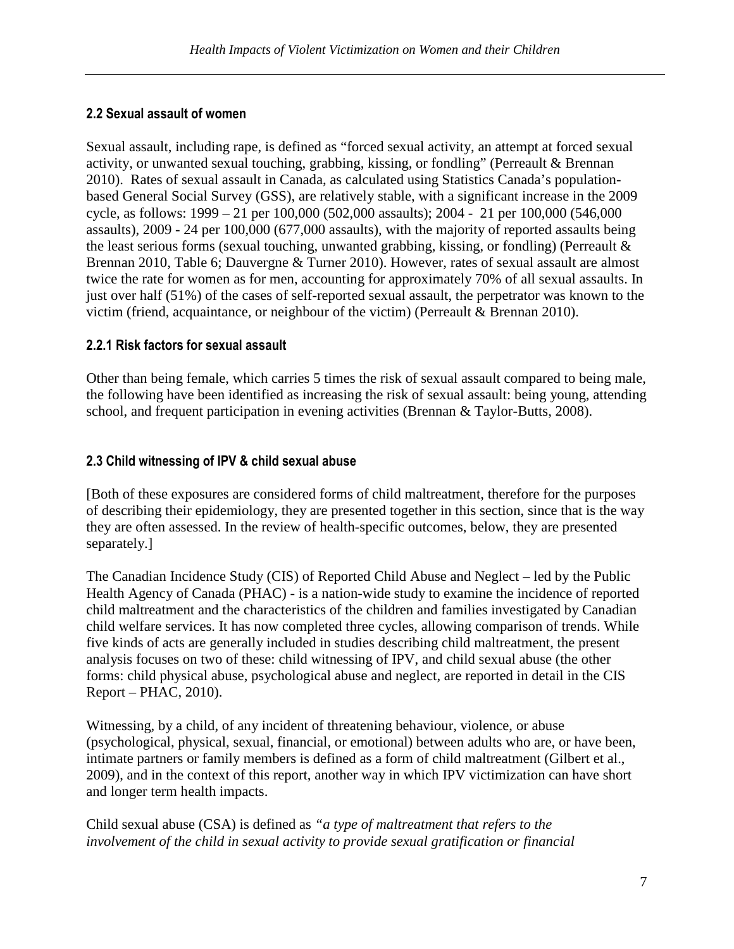## 2.2 Sexual assault of women

Sexual assault, including rape, is defined as "forced sexual activity, an attempt at forced sexual activity, or unwanted sexual touching, grabbing, kissing, or fondling" (Perreault & Brennan 2010). Rates of sexual assault in Canada, as calculated using Statistics Canada's populationbased General Social Survey (GSS), are relatively stable, with a significant increase in the 2009 cycle, as follows: 1999 – 21 per 100,000 (502,000 assaults); 2004 - 21 per 100,000 (546,000 assaults), 2009 - 24 per 100,000 (677,000 assaults), with the majority of reported assaults being the least serious forms (sexual touching, unwanted grabbing, kissing, or fondling) (Perreault & Brennan 2010, Table 6; Dauvergne & Turner 2010). However, rates of sexual assault are almost twice the rate for women as for men, accounting for approximately 70% of all sexual assaults. In just over half (51%) of the cases of self-reported sexual assault, the perpetrator was known to the victim (friend, acquaintance, or neighbour of the victim) (Perreault & Brennan 2010).

#### 2.2.1 Risk factors for sexual assault

Other than being female, which carries 5 times the risk of sexual assault compared to being male, the following have been identified as increasing the risk of sexual assault: being young, attending school, and frequent participation in evening activities (Brennan & Taylor-Butts, 2008).

### 2.3 Child witnessing of IPV & child sexual abuse

[Both of these exposures are considered forms of child maltreatment, therefore for the purposes of describing their epidemiology, they are presented together in this section, since that is the way they are often assessed. In the review of health-specific outcomes, below, they are presented separately.]

The Canadian Incidence Study (CIS) of Reported Child Abuse and Neglect – led by the Public Health Agency of Canada (PHAC) - is a nation-wide study to examine the incidence of reported child maltreatment and the characteristics of the children and families investigated by Canadian child welfare services. It has now completed three cycles, allowing comparison of trends. While five kinds of acts are generally included in studies describing child maltreatment, the present analysis focuses on two of these: child witnessing of IPV, and child sexual abuse (the other forms: child physical abuse, psychological abuse and neglect, are reported in detail in the CIS Report – PHAC, 2010).

Witnessing, by a child, of any incident of threatening behaviour, violence, or abuse (psychological, physical, sexual, financial, or emotional) between adults who are, or have been, intimate partners or family members is defined as a form of child maltreatment (Gilbert et al., 2009), and in the context of this report, another way in which IPV victimization can have short and longer term health impacts.

Child sexual abuse (CSA) is defined as *"a type of maltreatment that refers to the involvement of the child in sexual activity to provide sexual gratification or financial*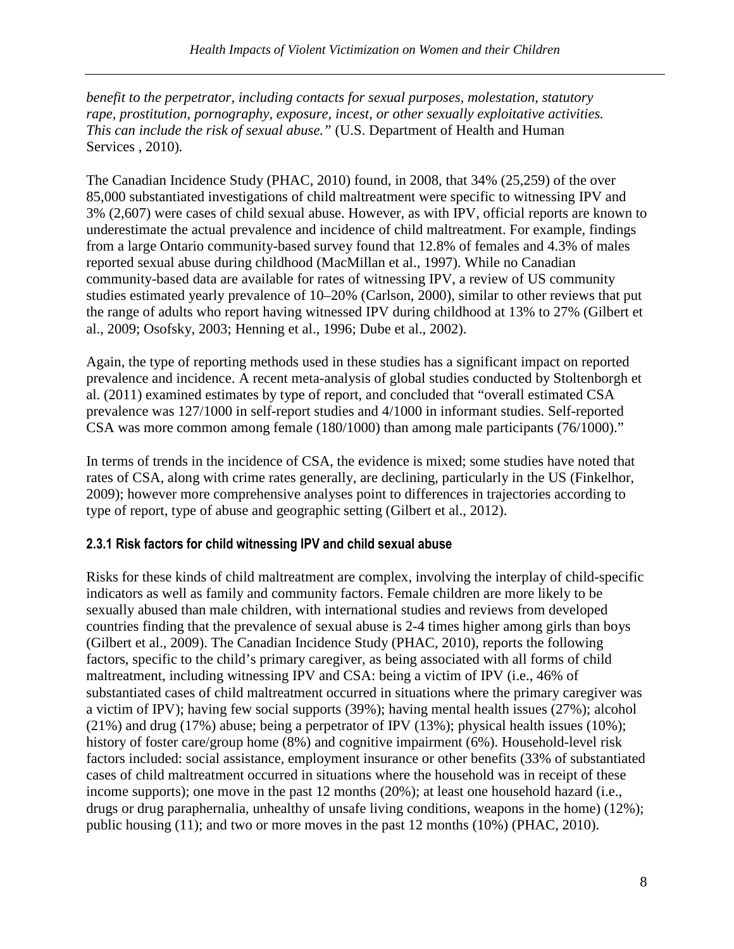*benefit to the perpetrator, including contacts for sexual purposes, molestation, statutory rape, prostitution, pornography, exposure, incest, or other sexually exploitative activities. This can include the risk of sexual abuse."* (U.S. Department of Health and Human Services , 2010)*.* 

The Canadian Incidence Study (PHAC, 2010) found, in 2008, that 34% (25,259) of the over 85,000 substantiated investigations of child maltreatment were specific to witnessing IPV and 3% (2,607) were cases of child sexual abuse. However, as with IPV, official reports are known to underestimate the actual prevalence and incidence of child maltreatment. For example, findings from a large Ontario community-based survey found that 12.8% of females and 4.3% of males reported sexual abuse during childhood (MacMillan et al., 1997). While no Canadian community-based data are available for rates of witnessing IPV, a review of US community studies estimated yearly prevalence of 10–20% (Carlson, 2000), similar to other reviews that put the range of adults who report having witnessed IPV during childhood at 13% to 27% (Gilbert et al., 2009; Osofsky, 2003; Henning et al., 1996; Dube et al., 2002).

Again, the type of reporting methods used in these studies has a significant impact on reported prevalence and incidence. A recent meta-analysis of global studies conducted by Stoltenborgh et al. (2011) examined estimates by type of report, and concluded that "overall estimated CSA prevalence was 127/1000 in self-report studies and 4/1000 in informant studies. Self-reported CSA was more common among female (180/1000) than among male participants (76/1000)."

In terms of trends in the incidence of CSA, the evidence is mixed; some studies have noted that rates of CSA, along with crime rates generally, are declining, particularly in the US (Finkelhor, 2009); however more comprehensive analyses point to differences in trajectories according to type of report, type of abuse and geographic setting (Gilbert et al., 2012).

#### 2.3.1 Risk factors for child witnessing IPV and child sexual abuse

Risks for these kinds of child maltreatment are complex, involving the interplay of child-specific indicators as well as family and community factors. Female children are more likely to be sexually abused than male children, with international studies and reviews from developed countries finding that the prevalence of sexual abuse is 2-4 times higher among girls than boys (Gilbert et al., 2009). The Canadian Incidence Study (PHAC, 2010), reports the following factors, specific to the child's primary caregiver, as being associated with all forms of child maltreatment, including witnessing IPV and CSA: being a victim of IPV (i.e., 46% of substantiated cases of child maltreatment occurred in situations where the primary caregiver was a victim of IPV); having few social supports (39%); having mental health issues (27%); alcohol (21%) and drug (17%) abuse; being a perpetrator of IPV (13%); physical health issues (10%); history of foster care/group home (8%) and cognitive impairment (6%). Household-level risk factors included: social assistance, employment insurance or other benefits (33% of substantiated cases of child maltreatment occurred in situations where the household was in receipt of these income supports); one move in the past 12 months (20%); at least one household hazard (i.e., drugs or drug paraphernalia, unhealthy of unsafe living conditions, weapons in the home) (12%); public housing (11); and two or more moves in the past 12 months (10%) (PHAC, 2010).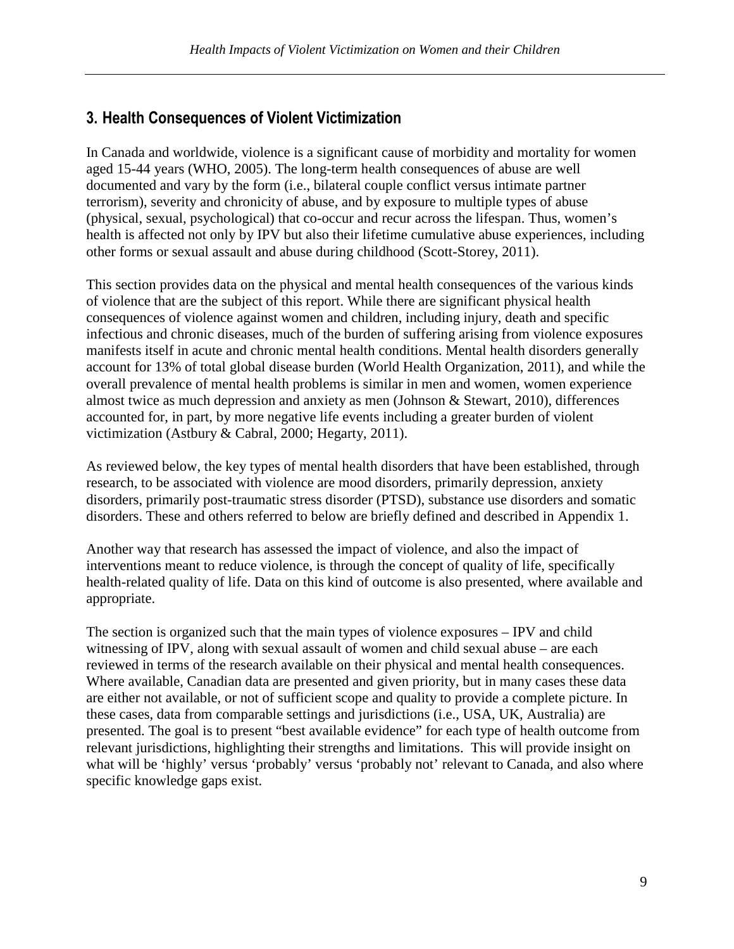## 3. Health Consequences of Violent Victimization

In Canada and worldwide, violence is a significant cause of morbidity and mortality for women aged 15-44 years (WHO, 2005). The long-term health consequences of abuse are well documented and vary by the form (i.e., bilateral couple conflict versus intimate partner terrorism), severity and chronicity of abuse, and by exposure to multiple types of abuse (physical, sexual, psychological) that co-occur and recur across the lifespan. Thus, women's health is affected not only by IPV but also their lifetime cumulative abuse experiences, including other forms or sexual assault and abuse during childhood (Scott-Storey, 2011).

This section provides data on the physical and mental health consequences of the various kinds of violence that are the subject of this report. While there are significant physical health consequences of violence against women and children, including injury, death and specific infectious and chronic diseases, much of the burden of suffering arising from violence exposures manifests itself in acute and chronic mental health conditions. Mental health disorders generally account for 13% of total global disease burden (World Health Organization, 2011), and while the overall prevalence of mental health problems is similar in men and women, women experience almost twice as much depression and anxiety as men (Johnson & Stewart, 2010), differences accounted for, in part, by more negative life events including a greater burden of violent victimization (Astbury & Cabral, 2000; Hegarty, 2011).

As reviewed below, the key types of mental health disorders that have been established, through research, to be associated with violence are mood disorders, primarily depression, anxiety disorders, primarily post-traumatic stress disorder (PTSD), substance use disorders and somatic disorders. These and others referred to below are briefly defined and described in Appendix 1.

Another way that research has assessed the impact of violence, and also the impact of interventions meant to reduce violence, is through the concept of quality of life, specifically health-related quality of life. Data on this kind of outcome is also presented, where available and appropriate.

The section is organized such that the main types of violence exposures – IPV and child witnessing of IPV, along with sexual assault of women and child sexual abuse – are each reviewed in terms of the research available on their physical and mental health consequences. Where available, Canadian data are presented and given priority, but in many cases these data are either not available, or not of sufficient scope and quality to provide a complete picture. In these cases, data from comparable settings and jurisdictions (i.e., USA, UK, Australia) are presented. The goal is to present "best available evidence" for each type of health outcome from relevant jurisdictions, highlighting their strengths and limitations. This will provide insight on what will be 'highly' versus 'probably' versus 'probably not' relevant to Canada, and also where specific knowledge gaps exist.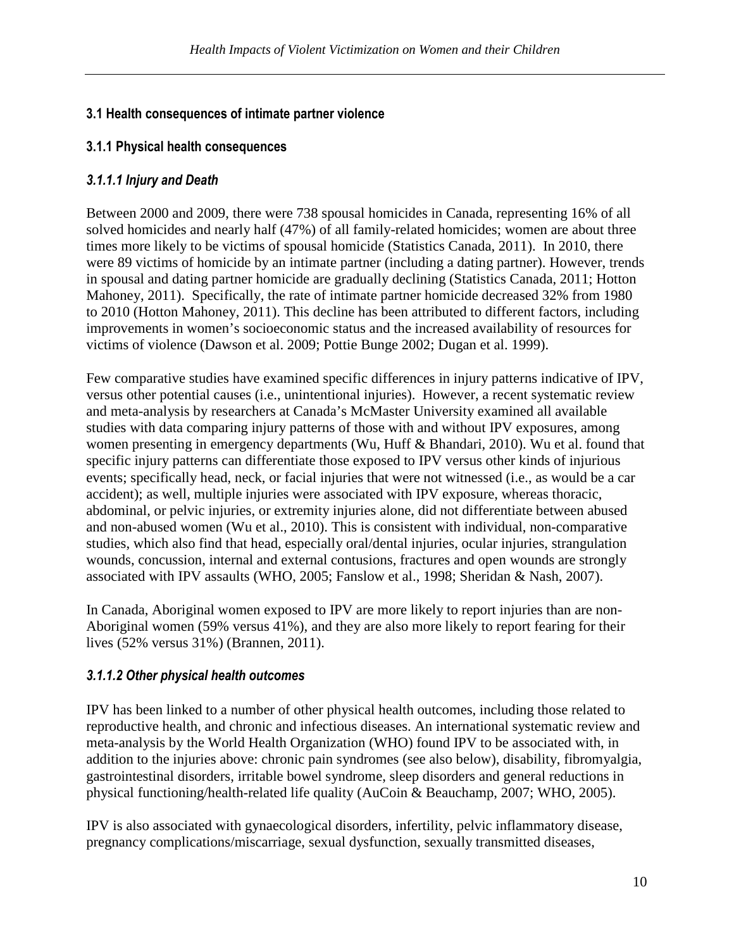## 3.1 Health consequences of intimate partner violence

#### 3.1.1 Physical health consequences

### 3.1.1.1 Injury and Death

Between 2000 and 2009, there were 738 spousal homicides in Canada, representing 16% of all solved homicides and nearly half (47%) of all family-related homicides; women are about three times more likely to be victims of spousal homicide (Statistics Canada, 2011). In 2010, there were 89 victims of homicide by an intimate partner (including a dating partner). However, trends in spousal and dating partner homicide are gradually declining (Statistics Canada, 2011; Hotton Mahoney, 2011). Specifically, the rate of intimate partner homicide decreased 32% from 1980 to 2010 (Hotton Mahoney, 2011). This decline has been attributed to different factors, including improvements in women's socioeconomic status and the increased availability of resources for victims of violence (Dawson et al. 2009; Pottie Bunge 2002; Dugan et al. 1999).

Few comparative studies have examined specific differences in injury patterns indicative of IPV, versus other potential causes (i.e., unintentional injuries). However, a recent systematic review and meta-analysis by researchers at Canada's McMaster University examined all available studies with data comparing injury patterns of those with and without IPV exposures, among women presenting in emergency departments (Wu, Huff & Bhandari, 2010). Wu et al. found that specific injury patterns can differentiate those exposed to IPV versus other kinds of injurious events; specifically head, neck, or facial injuries that were not witnessed (i.e., as would be a car accident); as well, multiple injuries were associated with IPV exposure, whereas thoracic, abdominal, or pelvic injuries, or extremity injuries alone, did not differentiate between abused and non-abused women (Wu et al., 2010). This is consistent with individual, non-comparative studies, which also find that head, especially oral/dental injuries, ocular injuries, strangulation wounds, concussion, internal and external contusions, fractures and open wounds are strongly associated with IPV assaults (WHO, 2005; Fanslow et al., 1998; Sheridan & Nash, 2007).

In Canada, Aboriginal women exposed to IPV are more likely to report injuries than are non-Aboriginal women (59% versus 41%), and they are also more likely to report fearing for their lives (52% versus 31%) (Brannen, 2011).

#### 3.1.1.2 Other physical health outcomes

IPV has been linked to a number of other physical health outcomes, including those related to reproductive health, and chronic and infectious diseases. An international systematic review and meta-analysis by the World Health Organization (WHO) found IPV to be associated with, in addition to the injuries above: chronic pain syndromes (see also below), disability, fibromyalgia, gastrointestinal disorders, irritable bowel syndrome, sleep disorders and general reductions in physical functioning/health-related life quality (AuCoin & Beauchamp, 2007; WHO, 2005).

IPV is also associated with gynaecological disorders, infertility, pelvic inflammatory disease, pregnancy complications/miscarriage, sexual dysfunction, sexually transmitted diseases,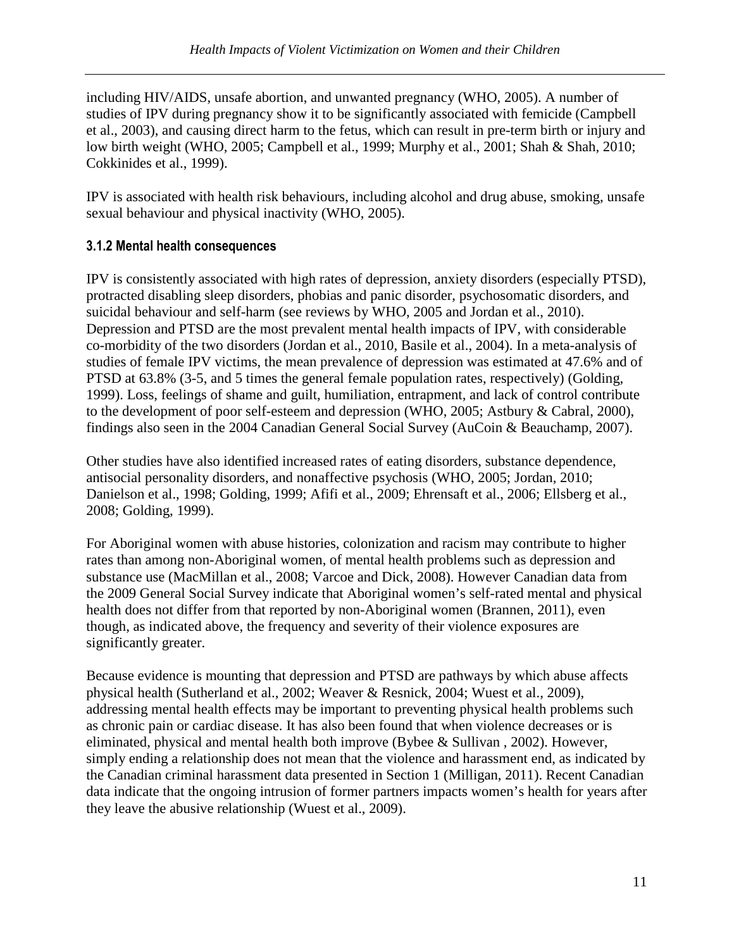including HIV/AIDS, unsafe abortion, and unwanted pregnancy (WHO, 2005). A number of studies of IPV during pregnancy show it to be significantly associated with femicide (Campbell et al., 2003), and causing direct harm to the fetus, which can result in pre-term birth or injury and low birth weight (WHO, 2005; Campbell et al., 1999; Murphy et al., 2001; Shah & Shah, 2010; Cokkinides et al., 1999).

IPV is associated with health risk behaviours, including alcohol and drug abuse, smoking, unsafe sexual behaviour and physical inactivity (WHO, 2005).

## 3.1.2 Mental health consequences

IPV is consistently associated with high rates of depression, anxiety disorders (especially PTSD), protracted disabling sleep disorders, phobias and panic disorder, psychosomatic disorders, and suicidal behaviour and self-harm (see reviews by WHO, 2005 and Jordan et al., 2010). Depression and PTSD are the most prevalent mental health impacts of IPV, with considerable co-morbidity of the two disorders (Jordan et al., 2010, Basile et al., 2004). In a meta-analysis of studies of female IPV victims, the mean prevalence of depression was estimated at 47.6% and of PTSD at 63.8% (3-5, and 5 times the general female population rates, respectively) (Golding, 1999). Loss, feelings of shame and guilt, humiliation, entrapment, and lack of control contribute to the development of poor self-esteem and depression (WHO, 2005; Astbury & Cabral, 2000), findings also seen in the 2004 Canadian General Social Survey (AuCoin & Beauchamp, 2007).

Other studies have also identified increased rates of eating disorders, substance dependence, antisocial personality disorders, and nonaffective psychosis (WHO, 2005; Jordan, 2010; Danielson et al., 1998; Golding, 1999; Afifi et al., 2009; Ehrensaft et al., 2006; Ellsberg et al., 2008; Golding, 1999).

For Aboriginal women with abuse histories, colonization and racism may contribute to higher rates than among non-Aboriginal women, of mental health problems such as depression and substance use (MacMillan et al., 2008; Varcoe and Dick, 2008). However Canadian data from the 2009 General Social Survey indicate that Aboriginal women's self-rated mental and physical health does not differ from that reported by non-Aboriginal women (Brannen, 2011), even though, as indicated above, the frequency and severity of their violence exposures are significantly greater.

Because evidence is mounting that depression and PTSD are pathways by which abuse affects physical health (Sutherland et al., 2002; Weaver & Resnick, 2004; Wuest et al., 2009), addressing mental health effects may be important to preventing physical health problems such as chronic pain or cardiac disease. It has also been found that when violence decreases or is eliminated, physical and mental health both improve (Bybee & Sullivan , 2002). However, simply ending a relationship does not mean that the violence and harassment end, as indicated by the Canadian criminal harassment data presented in Section 1 (Milligan, 2011). Recent Canadian data indicate that the ongoing intrusion of former partners impacts women's health for years after they leave the abusive relationship (Wuest et al., 2009).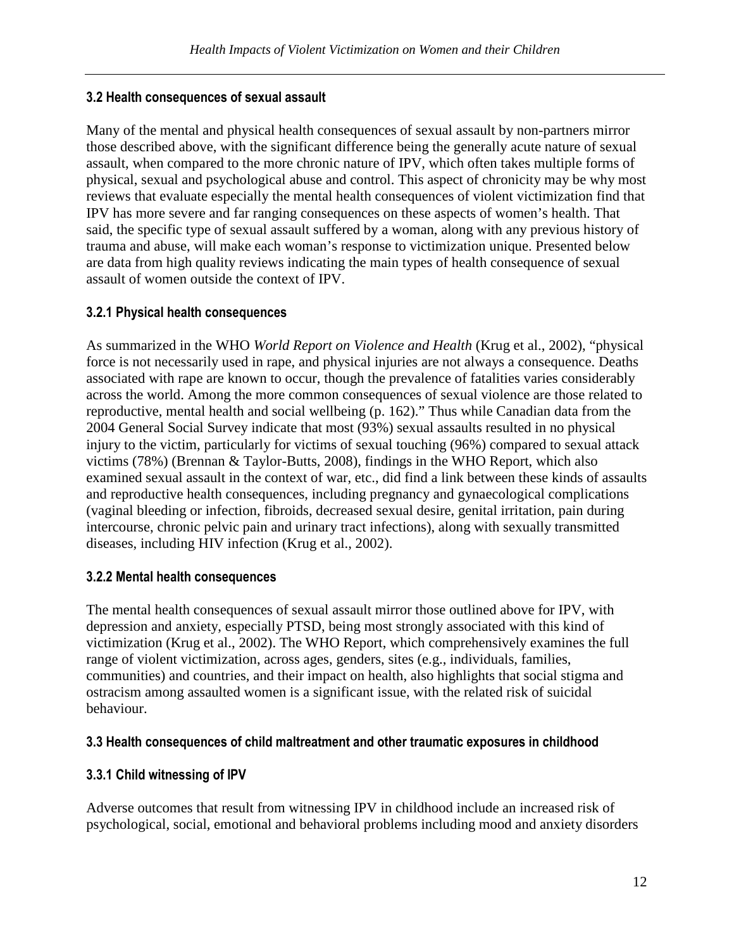### 3.2 Health consequences of sexual assault

Many of the mental and physical health consequences of sexual assault by non-partners mirror those described above, with the significant difference being the generally acute nature of sexual assault, when compared to the more chronic nature of IPV, which often takes multiple forms of physical, sexual and psychological abuse and control. This aspect of chronicity may be why most reviews that evaluate especially the mental health consequences of violent victimization find that IPV has more severe and far ranging consequences on these aspects of women's health. That said, the specific type of sexual assault suffered by a woman, along with any previous history of trauma and abuse, will make each woman's response to victimization unique. Presented below are data from high quality reviews indicating the main types of health consequence of sexual assault of women outside the context of IPV.

### 3.2.1 Physical health consequences

As summarized in the WHO *World Report on Violence and Health* (Krug et al., 2002), "physical force is not necessarily used in rape, and physical injuries are not always a consequence. Deaths associated with rape are known to occur, though the prevalence of fatalities varies considerably across the world. Among the more common consequences of sexual violence are those related to reproductive, mental health and social wellbeing (p. 162)." Thus while Canadian data from the 2004 General Social Survey indicate that most (93%) sexual assaults resulted in no physical injury to the victim, particularly for victims of sexual touching (96%) compared to sexual attack victims (78%) (Brennan & Taylor-Butts, 2008), findings in the WHO Report, which also examined sexual assault in the context of war, etc., did find a link between these kinds of assaults and reproductive health consequences, including pregnancy and gynaecological complications (vaginal bleeding or infection, fibroids, decreased sexual desire, genital irritation, pain during intercourse, chronic pelvic pain and urinary tract infections), along with sexually transmitted diseases, including HIV infection (Krug et al., 2002).

#### 3.2.2 Mental health consequences

The mental health consequences of sexual assault mirror those outlined above for IPV, with depression and anxiety, especially PTSD, being most strongly associated with this kind of victimization (Krug et al., 2002). The WHO Report, which comprehensively examines the full range of violent victimization, across ages, genders, sites (e.g., individuals, families, communities) and countries, and their impact on health, also highlights that social stigma and ostracism among assaulted women is a significant issue, with the related risk of suicidal behaviour.

#### 3.3 Health consequences of child maltreatment and other traumatic exposures in childhood

#### 3.3.1 Child witnessing of IPV

Adverse outcomes that result from witnessing IPV in childhood include an increased risk of psychological, social, emotional and behavioral problems including mood and anxiety disorders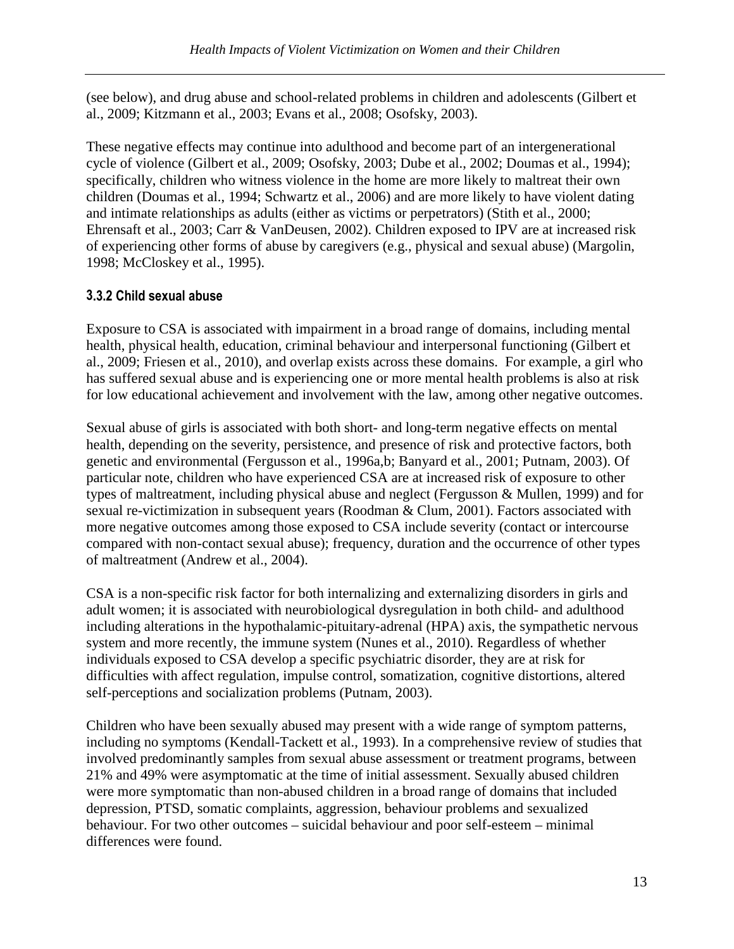(see below), and drug abuse and school-related problems in children and adolescents (Gilbert et al., 2009; Kitzmann et al., 2003; Evans et al., 2008; Osofsky, 2003).

These negative effects may continue into adulthood and become part of an intergenerational cycle of violence (Gilbert et al., 2009; Osofsky, 2003; Dube et al., 2002; Doumas et al., 1994); specifically, children who witness violence in the home are more likely to maltreat their own children (Doumas et al., 1994; Schwartz et al., 2006) and are more likely to have violent dating and intimate relationships as adults (either as victims or perpetrators) (Stith et al., 2000; Ehrensaft et al., 2003; Carr & VanDeusen, 2002). Children exposed to IPV are at increased risk of experiencing other forms of abuse by caregivers (e.g., physical and sexual abuse) (Margolin, 1998; McCloskey et al., 1995).

### 3.3.2 Child sexual abuse

Exposure to CSA is associated with impairment in a broad range of domains, including mental health, physical health, education, criminal behaviour and interpersonal functioning (Gilbert et al., 2009; Friesen et al., 2010), and overlap exists across these domains. For example, a girl who has suffered sexual abuse and is experiencing one or more mental health problems is also at risk for low educational achievement and involvement with the law, among other negative outcomes.

Sexual abuse of girls is associated with both short- and long-term negative effects on mental health, depending on the severity, persistence, and presence of risk and protective factors, both genetic and environmental (Fergusson et al., 1996a,b; Banyard et al., 2001; Putnam, 2003). Of particular note, children who have experienced CSA are at increased risk of exposure to other types of maltreatment, including physical abuse and neglect (Fergusson & Mullen, 1999) and for sexual re-victimization in subsequent years (Roodman & Clum, 2001). Factors associated with more negative outcomes among those exposed to CSA include severity (contact or intercourse compared with non-contact sexual abuse); frequency, duration and the occurrence of other types of maltreatment (Andrew et al., 2004).

CSA is a non-specific risk factor for both internalizing and externalizing disorders in girls and adult women; it is associated with neurobiological dysregulation in both child- and adulthood including alterations in the hypothalamic-pituitary-adrenal (HPA) axis, the sympathetic nervous system and more recently, the immune system (Nunes et al., 2010). Regardless of whether individuals exposed to CSA develop a specific psychiatric disorder, they are at risk for difficulties with affect regulation, impulse control, somatization, cognitive distortions, altered self-perceptions and socialization problems (Putnam, 2003).

Children who have been sexually abused may present with a wide range of symptom patterns, including no symptoms (Kendall-Tackett et al., 1993). In a comprehensive review of studies that involved predominantly samples from sexual abuse assessment or treatment programs, between 21% and 49% were asymptomatic at the time of initial assessment. Sexually abused children were more symptomatic than non-abused children in a broad range of domains that included depression, PTSD, somatic complaints, aggression, behaviour problems and sexualized behaviour. For two other outcomes – suicidal behaviour and poor self-esteem – minimal differences were found.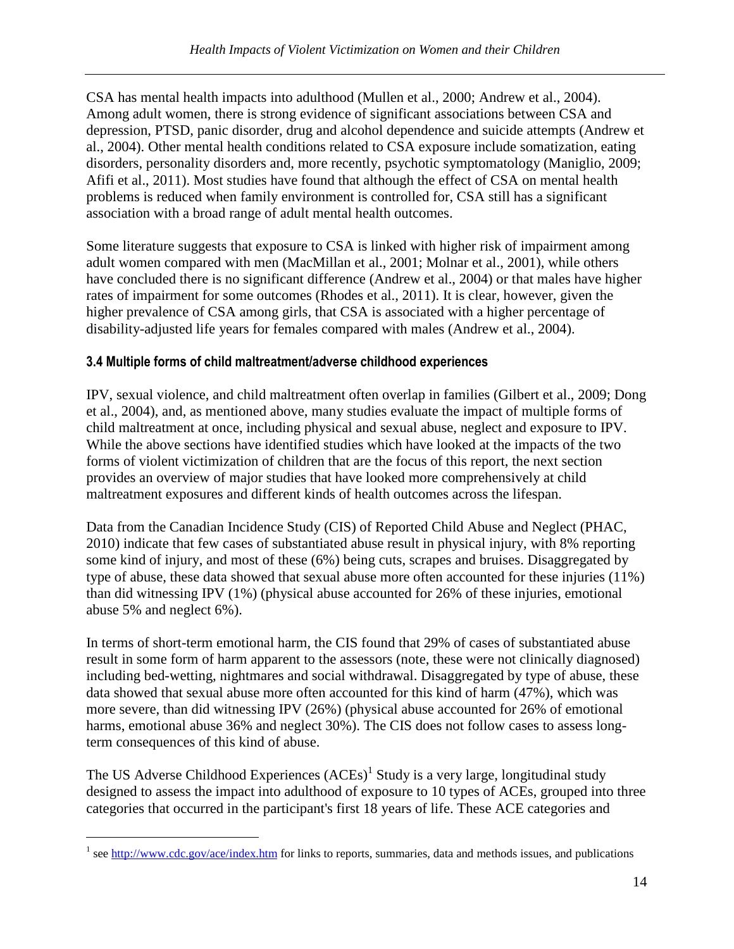CSA has mental health impacts into adulthood (Mullen et al., 2000; Andrew et al., 2004). Among adult women, there is strong evidence of significant associations between CSA and depression, PTSD, panic disorder, drug and alcohol dependence and suicide attempts (Andrew et al., 2004). Other mental health conditions related to CSA exposure include somatization, eating disorders, personality disorders and, more recently, psychotic symptomatology (Maniglio, 2009; Afifi et al., 2011). Most studies have found that although the effect of CSA on mental health problems is reduced when family environment is controlled for, CSA still has a significant association with a broad range of adult mental health outcomes.

Some literature suggests that exposure to CSA is linked with higher risk of impairment among adult women compared with men (MacMillan et al., 2001; Molnar et al., 2001), while others have concluded there is no significant difference (Andrew et al., 2004) or that males have higher rates of impairment for some outcomes (Rhodes et al., 2011). It is clear, however, given the higher prevalence of CSA among girls, that CSA is associated with a higher percentage of disability-adjusted life years for females compared with males (Andrew et al., 2004).

### 3.4 Multiple forms of child maltreatment/adverse childhood experiences

IPV, sexual violence, and child maltreatment often overlap in families (Gilbert et al., 2009; Dong et al., 2004), and, as mentioned above, many studies evaluate the impact of multiple forms of child maltreatment at once, including physical and sexual abuse, neglect and exposure to IPV. While the above sections have identified studies which have looked at the impacts of the two forms of violent victimization of children that are the focus of this report, the next section provides an overview of major studies that have looked more comprehensively at child maltreatment exposures and different kinds of health outcomes across the lifespan.

Data from the Canadian Incidence Study (CIS) of Reported Child Abuse and Neglect (PHAC, 2010) indicate that few cases of substantiated abuse result in physical injury, with 8% reporting some kind of injury, and most of these (6%) being cuts, scrapes and bruises. Disaggregated by type of abuse, these data showed that sexual abuse more often accounted for these injuries (11%) than did witnessing IPV (1%) (physical abuse accounted for 26% of these injuries, emotional abuse 5% and neglect 6%).

In terms of short-term emotional harm, the CIS found that 29% of cases of substantiated abuse result in some form of harm apparent to the assessors (note, these were not clinically diagnosed) including bed-wetting, nightmares and social withdrawal. Disaggregated by type of abuse, these data showed that sexual abuse more often accounted for this kind of harm (47%), which was more severe, than did witnessing IPV (26%) (physical abuse accounted for 26% of emotional harms, emotional abuse 36% and neglect 30%). The CIS does not follow cases to assess longterm consequences of this kind of abuse.

The US Adverse Childhood Experiences  $(ACEs)^1$  Study is a very large, longitudinal study designed to assess the impact into adulthood of exposure to 10 types of ACEs, grouped into three categories that occurred in the participant's first 18 years of life. These ACE categories and

<u>.</u>

<sup>&</sup>lt;sup>1</sup> see http://www.cdc.gov/ace/index.htm for links to reports, summaries, data and methods issues, and publications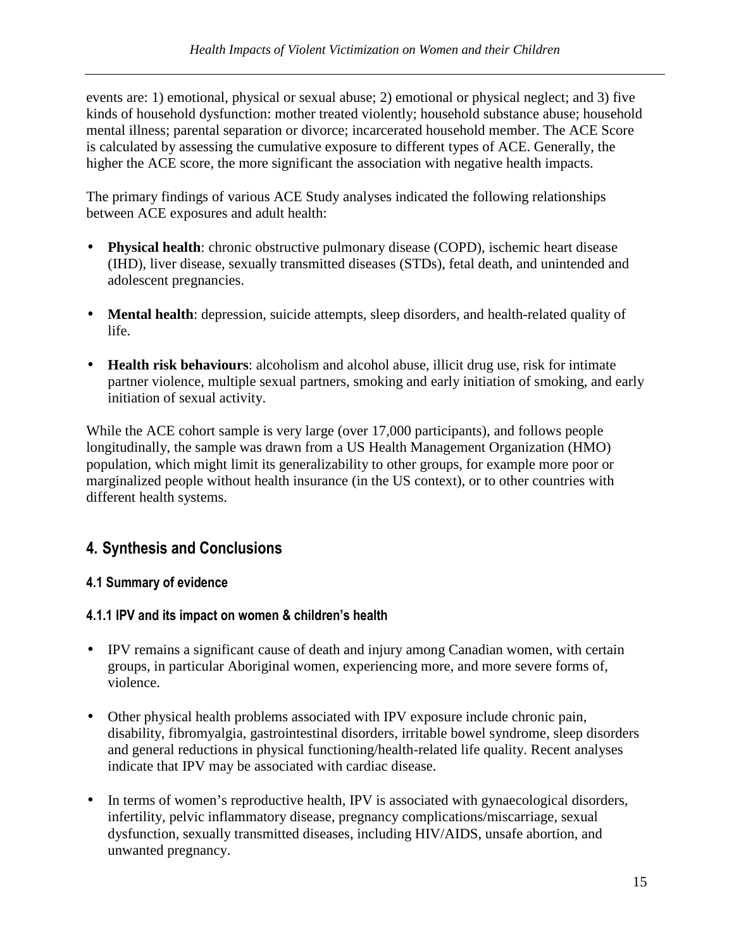events are: 1) emotional, physical or sexual abuse; 2) emotional or physical neglect; and 3) five kinds of household dysfunction: mother treated violently; household substance abuse; household mental illness; parental separation or divorce; incarcerated household member. The ACE Score is calculated by assessing the cumulative exposure to different types of ACE. Generally, the higher the ACE score, the more significant the association with negative health impacts.

The primary findings of various ACE Study analyses indicated the following relationships between ACE exposures and adult health:

- **Physical health**: chronic obstructive pulmonary disease (COPD), ischemic heart disease (IHD), liver disease, sexually transmitted diseases (STDs), fetal death, and unintended and adolescent pregnancies.
- **Mental health**: depression, suicide attempts, sleep disorders, and health-related quality of life.
- **Health risk behaviours**: alcoholism and alcohol abuse, illicit drug use, risk for intimate partner violence, multiple sexual partners, smoking and early initiation of smoking, and early initiation of sexual activity.

While the ACE cohort sample is very large (over 17,000 participants), and follows people longitudinally, the sample was drawn from a US Health Management Organization (HMO) population, which might limit its generalizability to other groups, for example more poor or marginalized people without health insurance (in the US context), or to other countries with different health systems.

# 4. Synthesis and Conclusions

#### 4.1 Summary of evidence

#### 4.1.1 IPV and its impact on women & children's health

- IPV remains a significant cause of death and injury among Canadian women, with certain groups, in particular Aboriginal women, experiencing more, and more severe forms of, violence.
- Other physical health problems associated with IPV exposure include chronic pain, disability, fibromyalgia, gastrointestinal disorders, irritable bowel syndrome, sleep disorders and general reductions in physical functioning/health-related life quality. Recent analyses indicate that IPV may be associated with cardiac disease.
- In terms of women's reproductive health, IPV is associated with gynaecological disorders, infertility, pelvic inflammatory disease, pregnancy complications/miscarriage, sexual dysfunction, sexually transmitted diseases, including HIV/AIDS, unsafe abortion, and unwanted pregnancy.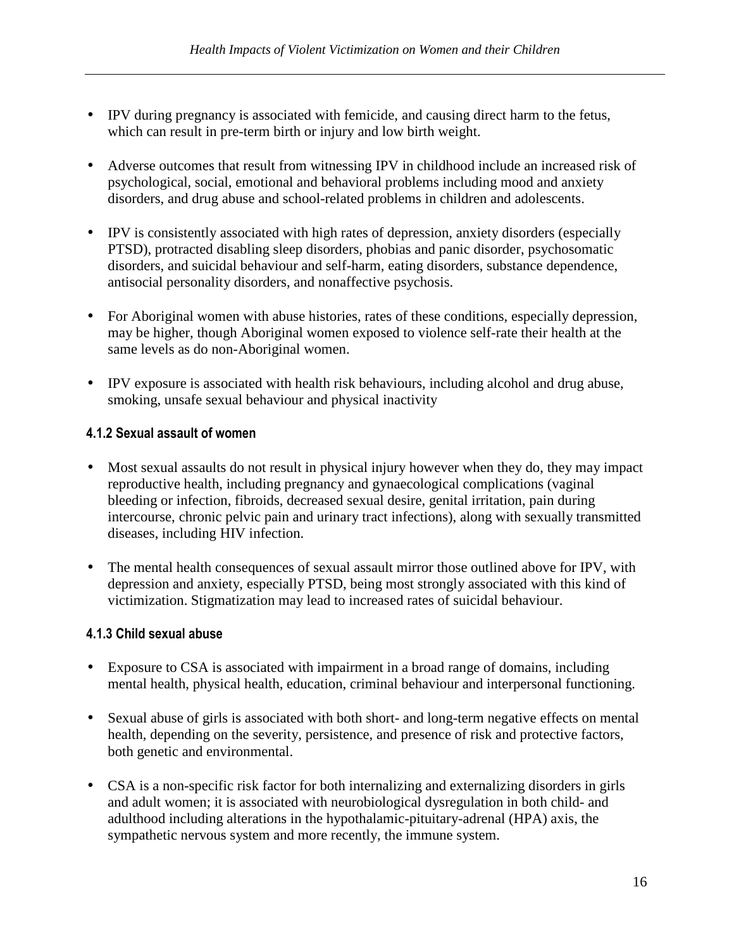- IPV during pregnancy is associated with femicide, and causing direct harm to the fetus, which can result in pre-term birth or injury and low birth weight.
- Adverse outcomes that result from witnessing IPV in childhood include an increased risk of psychological, social, emotional and behavioral problems including mood and anxiety disorders, and drug abuse and school-related problems in children and adolescents.
- IPV is consistently associated with high rates of depression, anxiety disorders (especially PTSD), protracted disabling sleep disorders, phobias and panic disorder, psychosomatic disorders, and suicidal behaviour and self-harm, eating disorders, substance dependence, antisocial personality disorders, and nonaffective psychosis.
- For Aboriginal women with abuse histories, rates of these conditions, especially depression, may be higher, though Aboriginal women exposed to violence self-rate their health at the same levels as do non-Aboriginal women.
- IPV exposure is associated with health risk behaviours, including alcohol and drug abuse, smoking, unsafe sexual behaviour and physical inactivity

### 4.1.2 Sexual assault of women

- Most sexual assaults do not result in physical injury however when they do, they may impact reproductive health, including pregnancy and gynaecological complications (vaginal bleeding or infection, fibroids, decreased sexual desire, genital irritation, pain during intercourse, chronic pelvic pain and urinary tract infections), along with sexually transmitted diseases, including HIV infection.
- The mental health consequences of sexual assault mirror those outlined above for IPV, with depression and anxiety, especially PTSD, being most strongly associated with this kind of victimization. Stigmatization may lead to increased rates of suicidal behaviour.

#### 4.1.3 Child sexual abuse

- Exposure to CSA is associated with impairment in a broad range of domains, including mental health, physical health, education, criminal behaviour and interpersonal functioning.
- Sexual abuse of girls is associated with both short- and long-term negative effects on mental health, depending on the severity, persistence, and presence of risk and protective factors, both genetic and environmental.
- CSA is a non-specific risk factor for both internalizing and externalizing disorders in girls and adult women; it is associated with neurobiological dysregulation in both child- and adulthood including alterations in the hypothalamic-pituitary-adrenal (HPA) axis, the sympathetic nervous system and more recently, the immune system.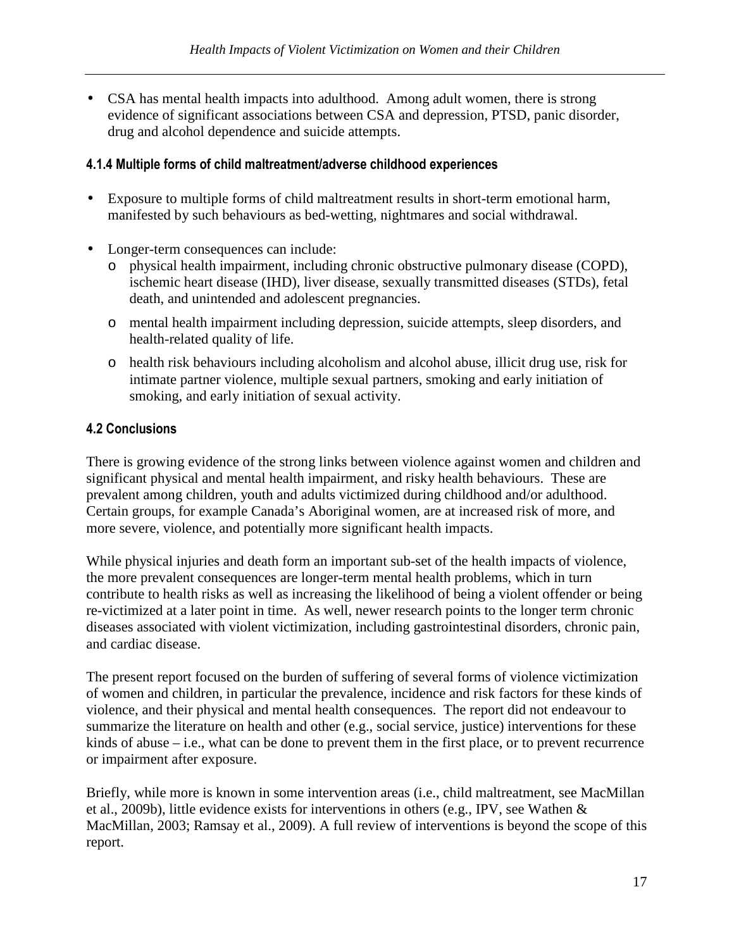• CSA has mental health impacts into adulthood. Among adult women, there is strong evidence of significant associations between CSA and depression, PTSD, panic disorder, drug and alcohol dependence and suicide attempts.

#### 4.1.4 Multiple forms of child maltreatment/adverse childhood experiences

- Exposure to multiple forms of child maltreatment results in short-term emotional harm, manifested by such behaviours as bed-wetting, nightmares and social withdrawal.
- Longer-term consequences can include:
	- o physical health impairment, including chronic obstructive pulmonary disease (COPD), ischemic heart disease (IHD), liver disease, sexually transmitted diseases (STDs), fetal death, and unintended and adolescent pregnancies.
	- o mental health impairment including depression, suicide attempts, sleep disorders, and health-related quality of life.
	- o health risk behaviours including alcoholism and alcohol abuse, illicit drug use, risk for intimate partner violence, multiple sexual partners, smoking and early initiation of smoking, and early initiation of sexual activity.

### 4.2 Conclusions

There is growing evidence of the strong links between violence against women and children and significant physical and mental health impairment, and risky health behaviours. These are prevalent among children, youth and adults victimized during childhood and/or adulthood. Certain groups, for example Canada's Aboriginal women, are at increased risk of more, and more severe, violence, and potentially more significant health impacts.

While physical injuries and death form an important sub-set of the health impacts of violence, the more prevalent consequences are longer-term mental health problems, which in turn contribute to health risks as well as increasing the likelihood of being a violent offender or being re-victimized at a later point in time. As well, newer research points to the longer term chronic diseases associated with violent victimization, including gastrointestinal disorders, chronic pain, and cardiac disease.

The present report focused on the burden of suffering of several forms of violence victimization of women and children, in particular the prevalence, incidence and risk factors for these kinds of violence, and their physical and mental health consequences. The report did not endeavour to summarize the literature on health and other (e.g., social service, justice) interventions for these kinds of abuse – i.e., what can be done to prevent them in the first place, or to prevent recurrence or impairment after exposure.

Briefly, while more is known in some intervention areas (i.e., child maltreatment, see MacMillan et al., 2009b), little evidence exists for interventions in others (e.g., IPV, see Wathen & MacMillan, 2003; Ramsay et al., 2009). A full review of interventions is beyond the scope of this report.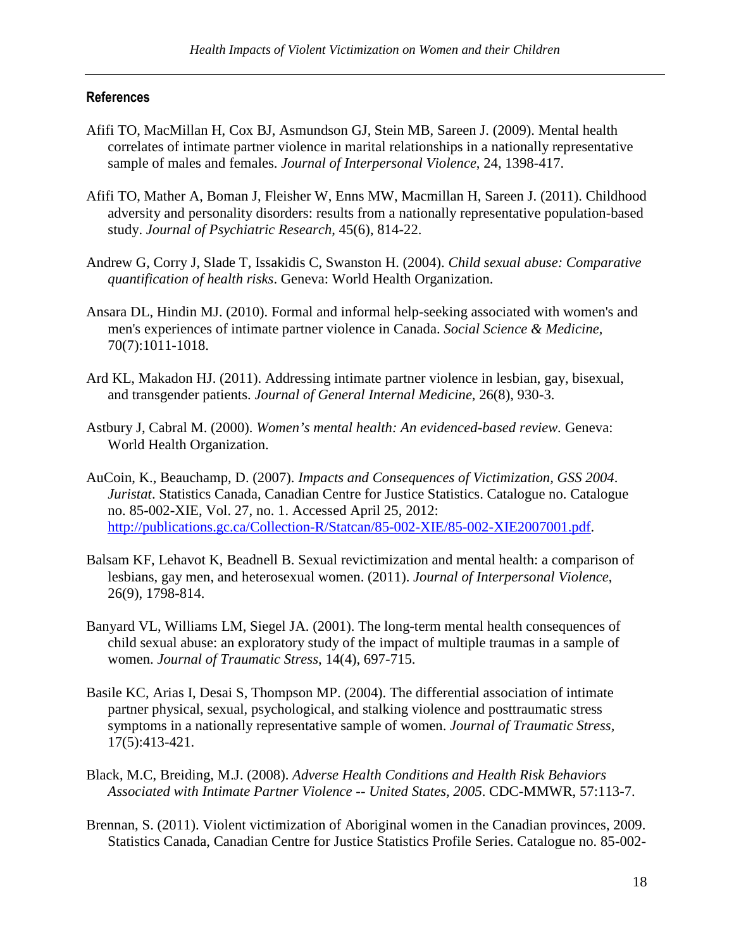#### References

- Afifi TO, MacMillan H, Cox BJ, Asmundson GJ, Stein MB, Sareen J. (2009). Mental health correlates of intimate partner violence in marital relationships in a nationally representative sample of males and females. *Journal of Interpersonal Violence*, 24, 1398-417.
- Afifi TO, Mather A, Boman J, Fleisher W, Enns MW, Macmillan H, Sareen J. (2011). Childhood adversity and personality disorders: results from a nationally representative population-based study. *Journal of Psychiatric Research*, 45(6), 814-22.
- Andrew G, Corry J, Slade T, Issakidis C, Swanston H. (2004). *Child sexual abuse: Comparative quantification of health risks*. Geneva: World Health Organization.
- Ansara DL, Hindin MJ. (2010). Formal and informal help-seeking associated with women's and men's experiences of intimate partner violence in Canada. *Social Science & Medicine,*  70(7):1011-1018.
- Ard KL, Makadon HJ. (2011). Addressing intimate partner violence in lesbian, gay, bisexual, and transgender patients. *Journal of General Internal Medicine*, 26(8), 930-3.
- Astbury J, Cabral M. (2000). *Women's mental health: An evidenced-based review.* Geneva: World Health Organization.
- AuCoin, K., Beauchamp, D. (2007). *Impacts and Consequences of Victimization, GSS 2004*. *Juristat*. Statistics Canada, Canadian Centre for Justice Statistics. Catalogue no. Catalogue no. 85-002-XIE, Vol. 27, no. 1. Accessed April 25, 2012: http://publications.gc.ca/Collection-R/Statcan/85-002-XIE/85-002-XIE2007001.pdf.
- Balsam KF, Lehavot K, Beadnell B. Sexual revictimization and mental health: a comparison of lesbians, gay men, and heterosexual women. (2011). *Journal of Interpersonal Violence*, 26(9), 1798-814.
- Banyard VL, Williams LM, Siegel JA. (2001). The long-term mental health consequences of child sexual abuse: an exploratory study of the impact of multiple traumas in a sample of women. *Journal of Traumatic Stress*, 14(4), 697-715.
- Basile KC, Arias I, Desai S, Thompson MP. (2004). The differential association of intimate partner physical, sexual, psychological, and stalking violence and posttraumatic stress symptoms in a nationally representative sample of women. *Journal of Traumatic Stress,*  17(5):413-421.
- Black, M.C, Breiding, M.J. (2008). *Adverse Health Conditions and Health Risk Behaviors Associated with Intimate Partner Violence -- United States, 2005*. CDC-MMWR, 57:113-7.
- Brennan, S. (2011). Violent victimization of Aboriginal women in the Canadian provinces, 2009. Statistics Canada, Canadian Centre for Justice Statistics Profile Series. Catalogue no. 85-002-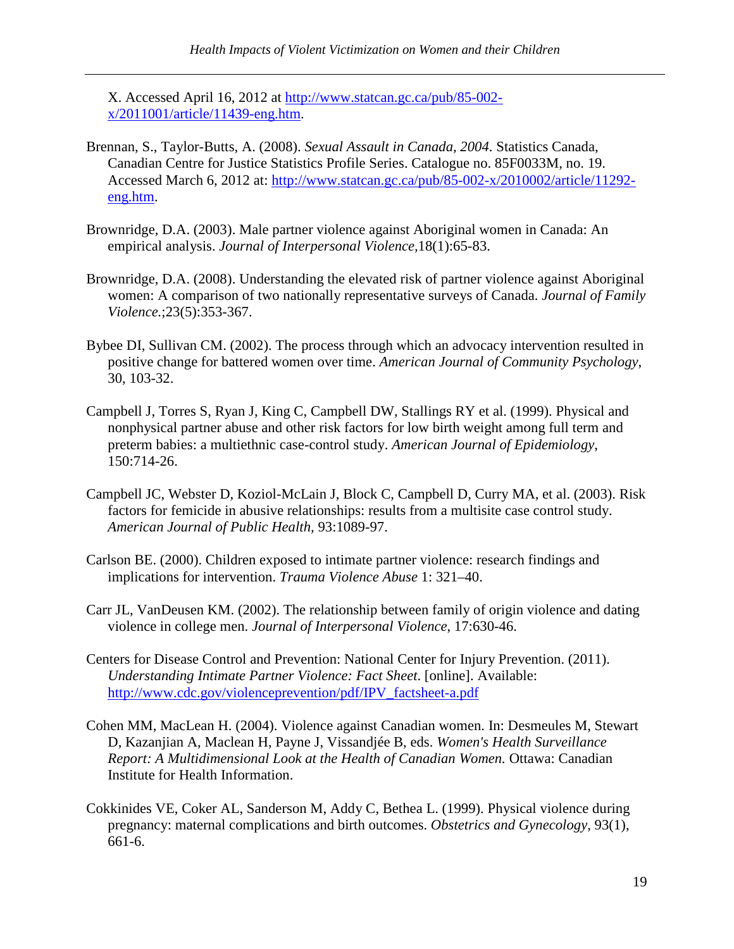X. Accessed April 16, 2012 at http://www.statcan.gc.ca/pub/85-002 x/2011001/article/11439-eng.htm.

- Brennan, S., Taylor-Butts, A. (2008). *Sexual Assault in Canada, 2004*. Statistics Canada, Canadian Centre for Justice Statistics Profile Series. Catalogue no. 85F0033M, no. 19. Accessed March 6, 2012 at: http://www.statcan.gc.ca/pub/85-002-x/2010002/article/11292 eng.htm.
- Brownridge, D.A. (2003). Male partner violence against Aboriginal women in Canada: An empirical analysis. *Journal of Interpersonal Violence,*18(1):65-83.
- Brownridge, D.A. (2008). Understanding the elevated risk of partner violence against Aboriginal women: A comparison of two nationally representative surveys of Canada. *Journal of Family Violence.*;23(5):353-367.
- Bybee DI, Sullivan CM. (2002). The process through which an advocacy intervention resulted in positive change for battered women over time. *American Journal of Community Psychology*, 30, 103-32.
- Campbell J, Torres S, Ryan J, King C, Campbell DW, Stallings RY et al. (1999). Physical and nonphysical partner abuse and other risk factors for low birth weight among full term and preterm babies: a multiethnic case-control study. *American Journal of Epidemiology*, 150:714-26.
- Campbell JC, Webster D, Koziol-McLain J, Block C, Campbell D, Curry MA, et al. (2003). Risk factors for femicide in abusive relationships: results from a multisite case control study. *American Journal of Public Health,* 93:1089-97.
- Carlson BE. (2000). Children exposed to intimate partner violence: research findings and implications for intervention. *Trauma Violence Abuse* 1: 321–40.
- Carr JL, VanDeusen KM. (2002). The relationship between family of origin violence and dating violence in college men. *Journal of Interpersonal Violence*, 17:630-46.
- Centers for Disease Control and Prevention: National Center for Injury Prevention. (2011). *Understanding Intimate Partner Violence: Fact Sheet*. [online]. Available: http://www.cdc.gov/violenceprevention/pdf/IPV\_factsheet-a.pdf
- Cohen MM, MacLean H. (2004). Violence against Canadian women. In: Desmeules M, Stewart D, Kazanjian A, Maclean H, Payne J, Vissandjée B, eds. *Women's Health Surveillance Report: A Multidimensional Look at the Health of Canadian Women.* Ottawa: Canadian Institute for Health Information.
- Cokkinides VE, Coker AL, Sanderson M, Addy C, Bethea L. (1999). Physical violence during pregnancy: maternal complications and birth outcomes. *Obstetrics and Gynecology,* 93(1), 661-6.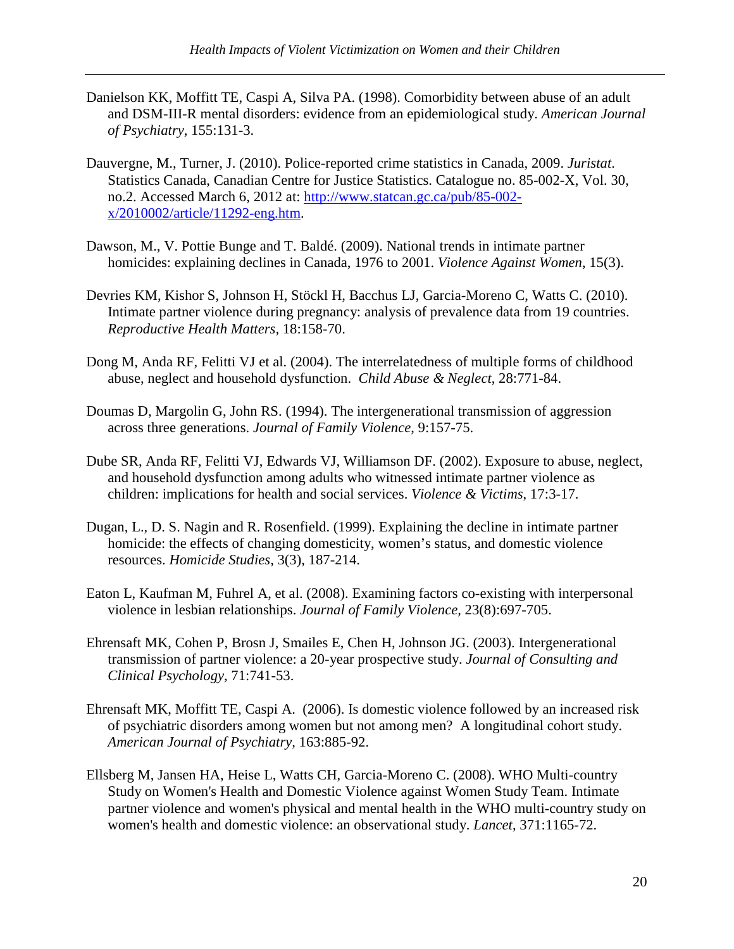- Danielson KK, Moffitt TE, Caspi A, Silva PA. (1998). Comorbidity between abuse of an adult and DSM-III-R mental disorders: evidence from an epidemiological study. *American Journal of Psychiatry*, 155:131-3.
- Dauvergne, M., Turner, J. (2010). Police-reported crime statistics in Canada, 2009. *Juristat*. Statistics Canada, Canadian Centre for Justice Statistics. Catalogue no. 85-002-X, Vol. 30, no.2. Accessed March 6, 2012 at: http://www.statcan.gc.ca/pub/85-002x/2010002/article/11292-eng.htm.
- Dawson, M., V. Pottie Bunge and T. Baldé. (2009). National trends in intimate partner homicides: explaining declines in Canada, 1976 to 2001. *Violence Against Women*, 15(3).
- Devries KM, Kishor S, Johnson H, Stöckl H, Bacchus LJ, Garcia-Moreno C, Watts C. (2010). Intimate partner violence during pregnancy: analysis of prevalence data from 19 countries. *Reproductive Health Matters,* 18:158-70.
- Dong M, Anda RF, Felitti VJ et al. (2004). The interrelatedness of multiple forms of childhood abuse, neglect and household dysfunction. *Child Abuse & Neglect*, 28:771-84.
- Doumas D, Margolin G, John RS. (1994). The intergenerational transmission of aggression across three generations. *Journal of Family Violence*, 9:157-75.
- Dube SR, Anda RF, Felitti VJ, Edwards VJ, Williamson DF. (2002). Exposure to abuse, neglect, and household dysfunction among adults who witnessed intimate partner violence as children: implications for health and social services. *Violence & Victims*, 17:3-17.
- Dugan, L., D. S. Nagin and R. Rosenfield. (1999). Explaining the decline in intimate partner homicide: the effects of changing domesticity, women's status, and domestic violence resources. *Homicide Studies*, 3(3), 187-214.
- Eaton L, Kaufman M, Fuhrel A, et al. (2008). Examining factors co-existing with interpersonal violence in lesbian relationships. *Journal of Family Violence,* 23(8):697-705.
- Ehrensaft MK, Cohen P, Brosn J, Smailes E, Chen H, Johnson JG. (2003). Intergenerational transmission of partner violence: a 20-year prospective study. *Journal of Consulting and Clinical Psychology*, 71:741-53.
- Ehrensaft MK, Moffitt TE, Caspi A. (2006). Is domestic violence followed by an increased risk of psychiatric disorders among women but not among men? A longitudinal cohort study. *American Journal of Psychiatry,* 163:885-92.
- Ellsberg M, Jansen HA, Heise L, Watts CH, Garcia-Moreno C. (2008). WHO Multi-country Study on Women's Health and Domestic Violence against Women Study Team. Intimate partner violence and women's physical and mental health in the WHO multi-country study on women's health and domestic violence: an observational study. *Lancet*, 371:1165-72.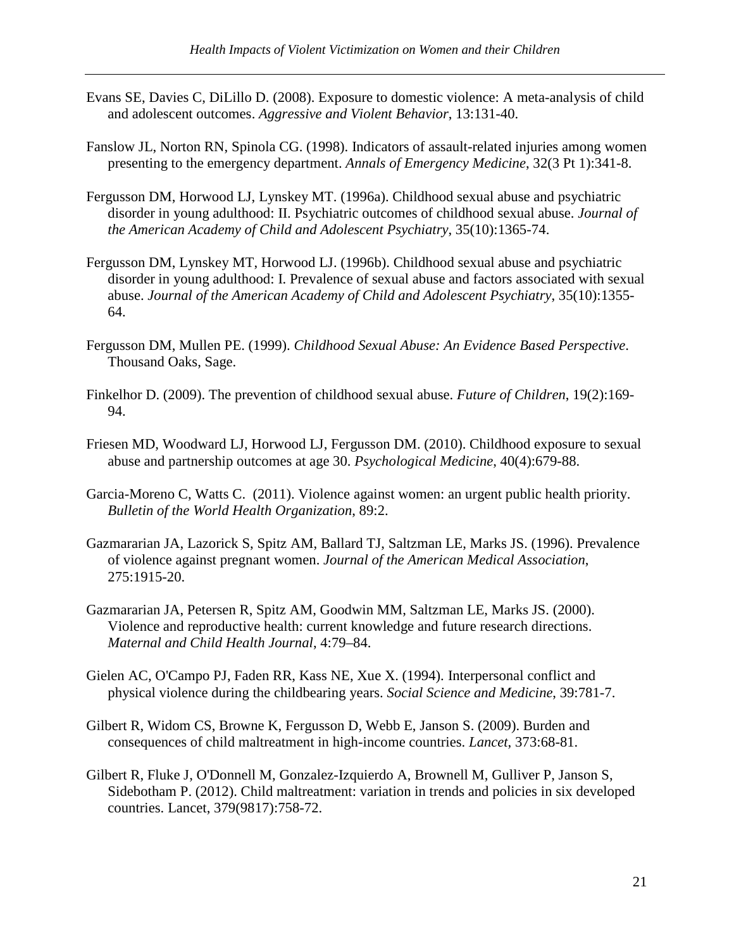- Evans SE, Davies C, DiLillo D. (2008). Exposure to domestic violence: A meta-analysis of child and adolescent outcomes. *Aggressive and Violent Behavior*, 13:131-40.
- Fanslow JL, Norton RN, Spinola CG. (1998). Indicators of assault-related injuries among women presenting to the emergency department. *Annals of Emergency Medicine*, 32(3 Pt 1):341-8.
- Fergusson DM, Horwood LJ, Lynskey MT. (1996a). Childhood sexual abuse and psychiatric disorder in young adulthood: II. Psychiatric outcomes of childhood sexual abuse. *Journal of the American Academy of Child and Adolescent Psychiatry*, 35(10):1365-74.
- Fergusson DM, Lynskey MT, Horwood LJ. (1996b). Childhood sexual abuse and psychiatric disorder in young adulthood: I. Prevalence of sexual abuse and factors associated with sexual abuse. *Journal of the American Academy of Child and Adolescent Psychiatry*, 35(10):1355- 64.
- Fergusson DM, Mullen PE. (1999). *Childhood Sexual Abuse: An Evidence Based Perspective*. Thousand Oaks, Sage.
- Finkelhor D. (2009). The prevention of childhood sexual abuse. *Future of Children*, 19(2):169- 94.
- Friesen MD, Woodward LJ, Horwood LJ, Fergusson DM. (2010). Childhood exposure to sexual abuse and partnership outcomes at age 30. *Psychological Medicine*, 40(4):679-88.
- Garcia-Moreno C, Watts C. (2011). Violence against women: an urgent public health priority. *Bulletin of the World Health Organization*, 89:2.
- Gazmararian JA, Lazorick S, Spitz AM, Ballard TJ, Saltzman LE, Marks JS. (1996). Prevalence of violence against pregnant women. *Journal of the American Medical Association*, 275:1915-20.
- Gazmararian JA, Petersen R, Spitz AM, Goodwin MM, Saltzman LE, Marks JS. (2000). Violence and reproductive health: current knowledge and future research directions. *Maternal and Child Health Journal*, 4:79–84.
- Gielen AC, O'Campo PJ, Faden RR, Kass NE, Xue X. (1994). Interpersonal conflict and physical violence during the childbearing years. *Social Science and Medicine*, 39:781-7.
- Gilbert R, Widom CS, Browne K, Fergusson D, Webb E, Janson S. (2009). Burden and consequences of child maltreatment in high-income countries. *Lancet*, 373:68-81.
- Gilbert R, Fluke J, O'Donnell M, Gonzalez-Izquierdo A, Brownell M, Gulliver P, Janson S, Sidebotham P. (2012). Child maltreatment: variation in trends and policies in six developed countries. Lancet, 379(9817):758-72.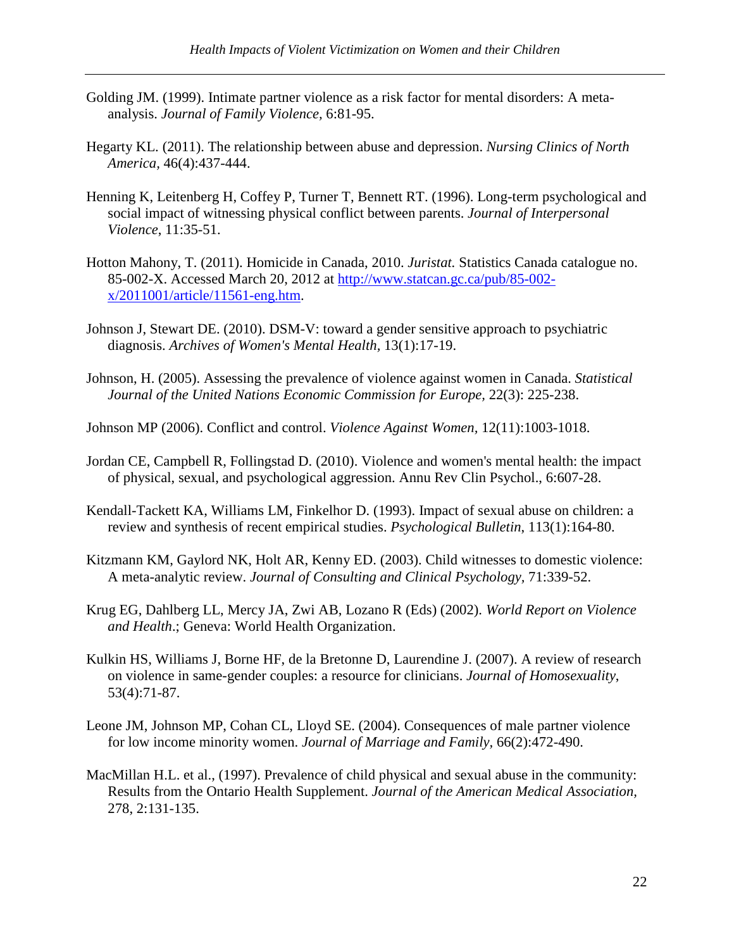- Golding JM. (1999). Intimate partner violence as a risk factor for mental disorders: A metaanalysis. *Journal of Family Violence,* 6:81-95.
- Hegarty KL. (2011). The relationship between abuse and depression. *Nursing Clinics of North America,* 46(4):437-444.
- Henning K, Leitenberg H, Coffey P, Turner T, Bennett RT. (1996). Long-term psychological and social impact of witnessing physical conflict between parents. *Journal of Interpersonal Violence*, 11:35-51.
- Hotton Mahony, T. (2011). Homicide in Canada, 2010. *Juristat.* Statistics Canada catalogue no. 85-002-X. Accessed March 20, 2012 at http://www.statcan.gc.ca/pub/85-002 x/2011001/article/11561-eng.htm.
- Johnson J, Stewart DE. (2010). DSM-V: toward a gender sensitive approach to psychiatric diagnosis. *Archives of Women's Mental Health,* 13(1):17-19.
- Johnson, H. (2005). Assessing the prevalence of violence against women in Canada. *Statistical Journal of the United Nations Economic Commission for Europe,* 22(3): 225-238.
- Johnson MP (2006). Conflict and control. *Violence Against Women,* 12(11):1003-1018.
- Jordan CE, Campbell R, Follingstad D. (2010). Violence and women's mental health: the impact of physical, sexual, and psychological aggression. Annu Rev Clin Psychol., 6:607-28.
- Kendall-Tackett KA, Williams LM, Finkelhor D. (1993). Impact of sexual abuse on children: a review and synthesis of recent empirical studies. *Psychological Bulletin*, 113(1):164-80.
- Kitzmann KM, Gaylord NK, Holt AR, Kenny ED. (2003). Child witnesses to domestic violence: A meta-analytic review. *Journal of Consulting and Clinical Psychology,* 71:339-52.
- Krug EG, Dahlberg LL, Mercy JA, Zwi AB, Lozano R (Eds) (2002). *World Report on Violence and Health*.; Geneva: World Health Organization.
- Kulkin HS, Williams J, Borne HF, de la Bretonne D, Laurendine J. (2007). A review of research on violence in same-gender couples: a resource for clinicians. *Journal of Homosexuality*, 53(4):71-87.
- Leone JM, Johnson MP, Cohan CL, Lloyd SE. (2004). Consequences of male partner violence for low income minority women. *Journal of Marriage and Family,* 66(2):472-490.
- MacMillan H.L. et al., (1997). Prevalence of child physical and sexual abuse in the community: Results from the Ontario Health Supplement. *Journal of the American Medical Association,*  278, 2:131-135.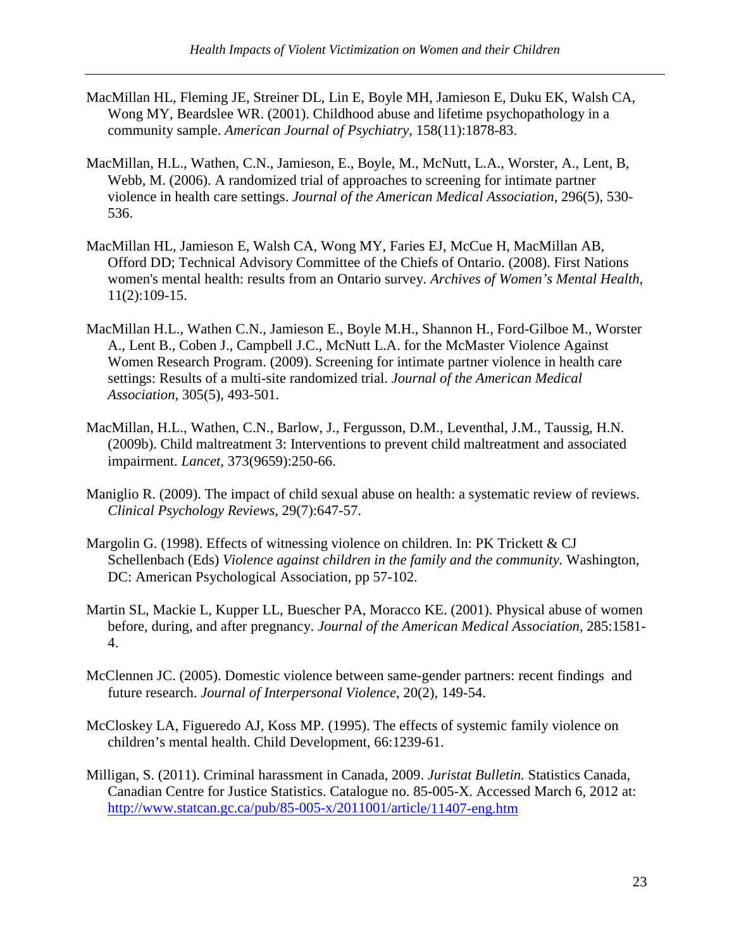- MacMillan HL, Fleming JE, Streiner DL, Lin E, Boyle MH, Jamieson E, Duku EK, Walsh CA, Wong MY, Beardslee WR. (2001). Childhood abuse and lifetime psychopathology in a community sample. *American Journal of Psychiatry*, 158(11):1878-83.
- MacMillan, H.L., Wathen, C.N., Jamieson, E., Boyle, M., McNutt, L.A., Worster, A., Lent, B, Webb, M. (2006). A randomized trial of approaches to screening for intimate partner violence in health care settings. *Journal of the American Medical Association,* 296(5), 530- 536.
- MacMillan HL, Jamieson E, Walsh CA, Wong MY, Faries EJ, McCue H, MacMillan AB, Offord DD; Technical Advisory Committee of the Chiefs of Ontario. (2008). First Nations women's mental health: results from an Ontario survey. *Archives of Women's Mental Health*, 11(2):109-15.
- MacMillan H.L., Wathen C.N., Jamieson E., Boyle M.H., Shannon H., Ford-Gilboe M., Worster A., Lent B., Coben J., Campbell J.C., McNutt L.A. for the McMaster Violence Against Women Research Program. (2009). Screening for intimate partner violence in health care settings: Results of a multi-site randomized trial. *Journal of the American Medical Association*, 305(5), 493-501.
- MacMillan, H.L., Wathen, C.N., Barlow, J., Fergusson, D.M., Leventhal, J.M., Taussig, H.N. (2009b). Child maltreatment 3: Interventions to prevent child maltreatment and associated impairment. *Lancet,* 373(9659):250-66.
- Maniglio R. (2009). The impact of child sexual abuse on health: a systematic review of reviews. *Clinical Psychology Reviews*, 29(7):647-57.
- Margolin G. (1998). Effects of witnessing violence on children. In: PK Trickett & CJ Schellenbach (Eds) *Violence against children in the family and the community.* Washington, DC: American Psychological Association, pp 57-102.
- Martin SL, Mackie L, Kupper LL, Buescher PA, Moracco KE. (2001). Physical abuse of women before, during, and after pregnancy. *Journal of the American Medical Association,* 285:1581- 4.
- McClennen JC. (2005). Domestic violence between same-gender partners: recent findings and future research. *Journal of Interpersonal Violence*, 20(2), 149-54.
- McCloskey LA, Figueredo AJ, Koss MP. (1995). The effects of systemic family violence on children's mental health. Child Development, 66:1239-61.
- Milligan, S. (2011). Criminal harassment in Canada, 2009. *Juristat Bulletin.* Statistics Canada, Canadian Centre for Justice Statistics. Catalogue no. 85-005-X. Accessed March 6, 2012 at: http://www.statcan.gc.ca/pub/85-005-x/2011001/article/11407-eng.htm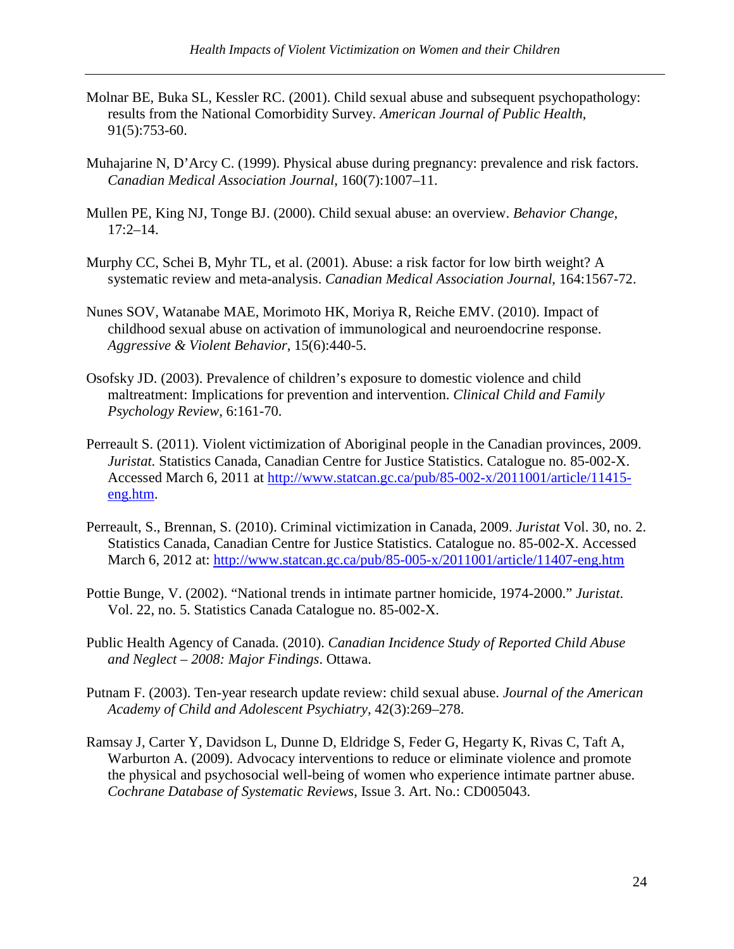- Molnar BE, Buka SL, Kessler RC. (2001). Child sexual abuse and subsequent psychopathology: results from the National Comorbidity Survey. *American Journal of Public Health*, 91(5):753-60.
- Muhajarine N, D'Arcy C. (1999). Physical abuse during pregnancy: prevalence and risk factors. *Canadian Medical Association Journal*, 160(7):1007–11.
- Mullen PE, King NJ, Tonge BJ. (2000). Child sexual abuse: an overview. *Behavior Change*, 17:2–14.
- Murphy CC, Schei B, Myhr TL, et al. (2001). Abuse: a risk factor for low birth weight? A systematic review and meta-analysis. *Canadian Medical Association Journal*, 164:1567-72.
- Nunes SOV, Watanabe MAE, Morimoto HK, Moriya R, Reiche EMV. (2010). Impact of childhood sexual abuse on activation of immunological and neuroendocrine response. *Aggressive & Violent Behavior*, 15(6):440-5.
- Osofsky JD. (2003). Prevalence of children's exposure to domestic violence and child maltreatment: Implications for prevention and intervention. *Clinical Child and Family Psychology Review*, 6:161-70.
- Perreault S. (2011). Violent victimization of Aboriginal people in the Canadian provinces, 2009. *Juristat.* Statistics Canada, Canadian Centre for Justice Statistics. Catalogue no. 85-002-X. Accessed March 6, 2011 at http://www.statcan.gc.ca/pub/85-002-x/2011001/article/11415 eng.htm.
- Perreault, S., Brennan, S. (2010). Criminal victimization in Canada, 2009. *Juristat* Vol. 30, no. 2. Statistics Canada, Canadian Centre for Justice Statistics. Catalogue no. 85-002-X. Accessed March 6, 2012 at: http://www.statcan.gc.ca/pub/85-005-x/2011001/article/11407-eng.htm
- Pottie Bunge, V. (2002). "National trends in intimate partner homicide, 1974-2000." *Juristat*. Vol. 22, no. 5. Statistics Canada Catalogue no. 85-002-X.
- Public Health Agency of Canada. (2010). *Canadian Incidence Study of Reported Child Abuse and Neglect – 2008: Major Findings*. Ottawa.
- Putnam F. (2003). Ten-year research update review: child sexual abuse. *Journal of the American Academy of Child and Adolescent Psychiatry,* 42(3):269–278.
- Ramsay J, Carter Y, Davidson L, Dunne D, Eldridge S, Feder G, Hegarty K, Rivas C, Taft A, Warburton A. (2009). Advocacy interventions to reduce or eliminate violence and promote the physical and psychosocial well-being of women who experience intimate partner abuse. *Cochrane Database of Systematic Reviews*, Issue 3. Art. No.: CD005043.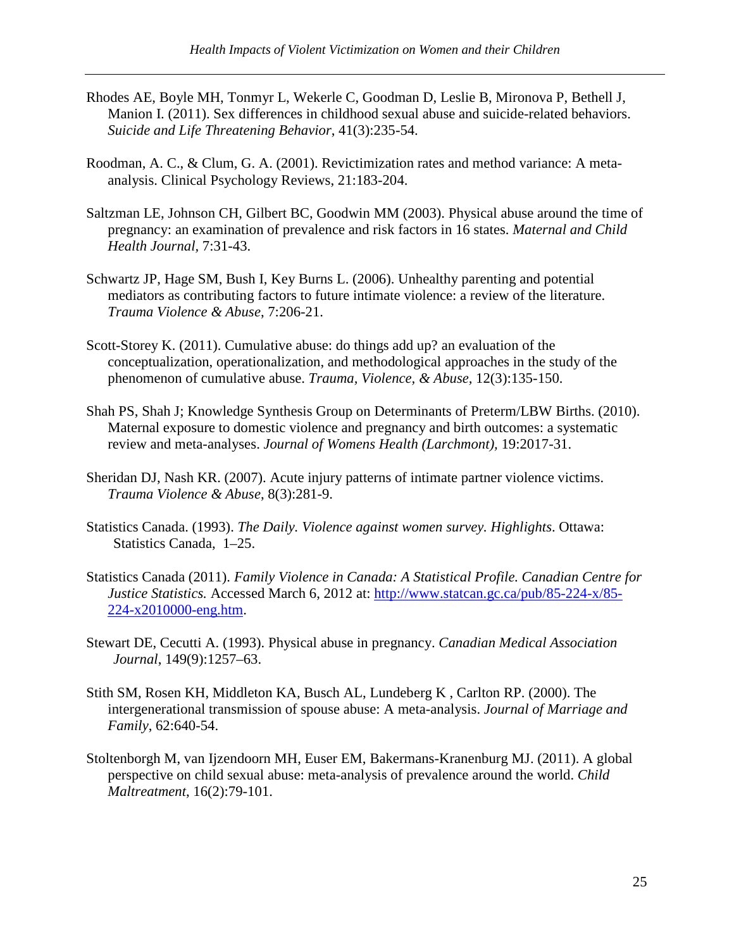- Rhodes AE, Boyle MH, Tonmyr L, Wekerle C, Goodman D, Leslie B, Mironova P, Bethell J, Manion I. (2011). Sex differences in childhood sexual abuse and suicide-related behaviors. *Suicide and Life Threatening Behavior*, 41(3):235-54.
- Roodman, A. C., & Clum, G. A. (2001). Revictimization rates and method variance: A metaanalysis. Clinical Psychology Reviews, 21:183-204.
- Saltzman LE, Johnson CH, Gilbert BC, Goodwin MM (2003). Physical abuse around the time of pregnancy: an examination of prevalence and risk factors in 16 states. *Maternal and Child Health Journal,* 7:31-43.
- Schwartz JP, Hage SM, Bush I, Key Burns L. (2006). Unhealthy parenting and potential mediators as contributing factors to future intimate violence: a review of the literature. *Trauma Violence & Abuse*, 7:206-21.
- Scott-Storey K. (2011). Cumulative abuse: do things add up? an evaluation of the conceptualization, operationalization, and methodological approaches in the study of the phenomenon of cumulative abuse. *Trauma, Violence, & Abuse,* 12(3):135-150.
- Shah PS, Shah J; Knowledge Synthesis Group on Determinants of Preterm/LBW Births. (2010). Maternal exposure to domestic violence and pregnancy and birth outcomes: a systematic review and meta-analyses. *Journal of Womens Health (Larchmont),* 19:2017-31.
- Sheridan DJ, Nash KR. (2007). Acute injury patterns of intimate partner violence victims. *Trauma Violence & Abuse*, 8(3):281-9.
- Statistics Canada. (1993). *The Daily. Violence against women survey. Highlights*. Ottawa: Statistics Canada, 1–25.
- Statistics Canada (2011). *Family Violence in Canada: A Statistical Profile. Canadian Centre for Justice Statistics.* Accessed March 6, 2012 at: http://www.statcan.gc.ca/pub/85-224-x/85- 224-x2010000-eng.htm.
- Stewart DE, Cecutti A. (1993). Physical abuse in pregnancy. *Canadian Medical Association Journal*, 149(9):1257–63.
- Stith SM, Rosen KH, Middleton KA, Busch AL, Lundeberg K , Carlton RP. (2000). The intergenerational transmission of spouse abuse: A meta-analysis. *Journal of Marriage and Family*, 62:640-54.
- Stoltenborgh M, van Ijzendoorn MH, Euser EM, Bakermans-Kranenburg MJ. (2011). A global perspective on child sexual abuse: meta-analysis of prevalence around the world. *Child Maltreatment*, 16(2):79-101.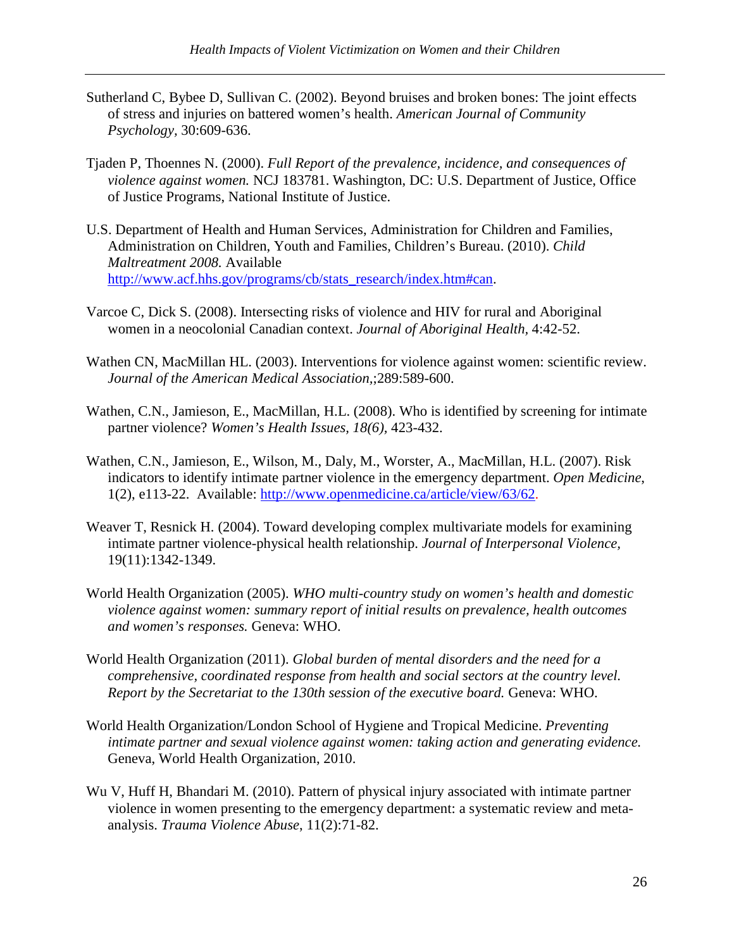- Sutherland C, Bybee D, Sullivan C. (2002). Beyond bruises and broken bones: The joint effects of stress and injuries on battered women's health. *American Journal of Community Psychology,* 30:609-636.
- Tjaden P, Thoennes N. (2000). *Full Report of the prevalence, incidence, and consequences of violence against women.* NCJ 183781. Washington, DC: U.S. Department of Justice, Office of Justice Programs, National Institute of Justice.
- U.S. Department of Health and Human Services, Administration for Children and Families, Administration on Children, Youth and Families, Children's Bureau. (2010). *Child Maltreatment 2008.* Available http://www.acf.hhs.gov/programs/cb/stats\_research/index.htm#can.
- Varcoe C, Dick S. (2008). Intersecting risks of violence and HIV for rural and Aboriginal women in a neocolonial Canadian context. *Journal of Aboriginal Health,* 4:42-52.
- Wathen CN, MacMillan HL. (2003). Interventions for violence against women: scientific review. *Journal of the American Medical Association,*;289:589-600.
- Wathen, C.N., Jamieson, E., MacMillan, H.L. (2008). Who is identified by screening for intimate partner violence? *Women's Health Issues, 18(6),* 423-432.
- Wathen, C.N., Jamieson, E., Wilson, M., Daly, M., Worster, A., MacMillan, H.L. (2007). Risk indicators to identify intimate partner violence in the emergency department. *Open Medicine*, 1(2), e113-22. Available: http://www.openmedicine.ca/article/view/63/62.
- Weaver T, Resnick H. (2004). Toward developing complex multivariate models for examining intimate partner violence-physical health relationship. *Journal of Interpersonal Violence,*  19(11):1342-1349.
- World Health Organization (2005). *WHO multi-country study on women's health and domestic violence against women: summary report of initial results on prevalence, health outcomes and women's responses.* Geneva: WHO.
- World Health Organization (2011). *Global burden of mental disorders and the need for a comprehensive, coordinated response from health and social sectors at the country level. Report by the Secretariat to the 130th session of the executive board.* Geneva: WHO.
- World Health Organization/London School of Hygiene and Tropical Medicine. *Preventing intimate partner and sexual violence against women: taking action and generating evidence.* Geneva, World Health Organization, 2010.
- Wu V, Huff H, Bhandari M. (2010). Pattern of physical injury associated with intimate partner violence in women presenting to the emergency department: a systematic review and metaanalysis. *Trauma Violence Abuse*, 11(2):71-82.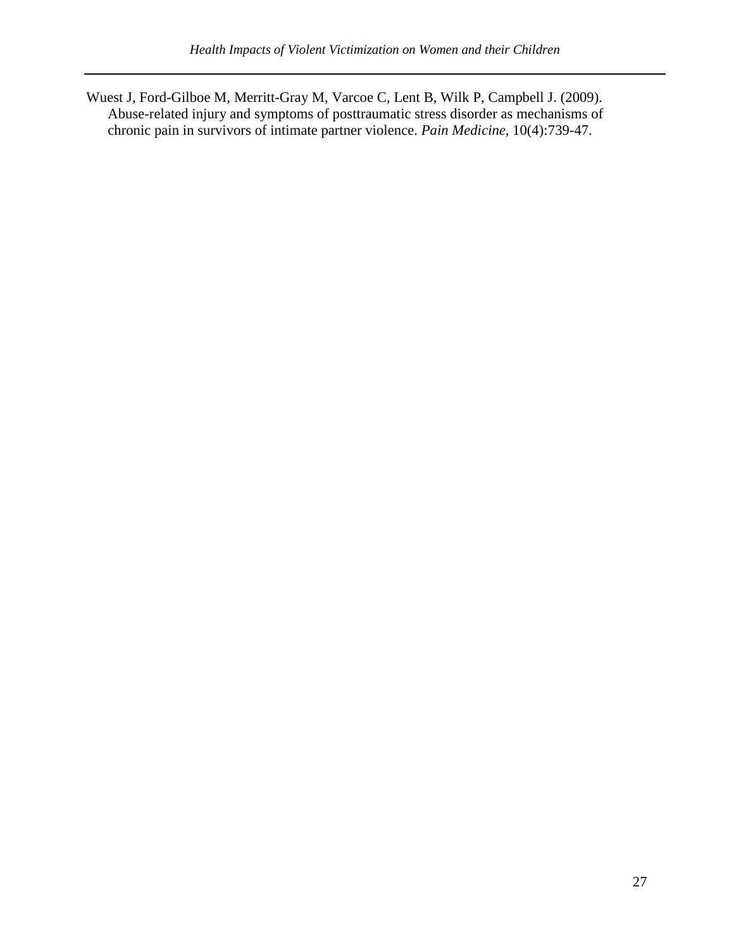Wuest J, Ford-Gilboe M, Merritt-Gray M, Varcoe C, Lent B, Wilk P, Campbell J. (2009). Abuse-related injury and symptoms of posttraumatic stress disorder as mechanisms of chronic pain in survivors of intimate partner violence. *Pain Medicine*, 10(4):739-47.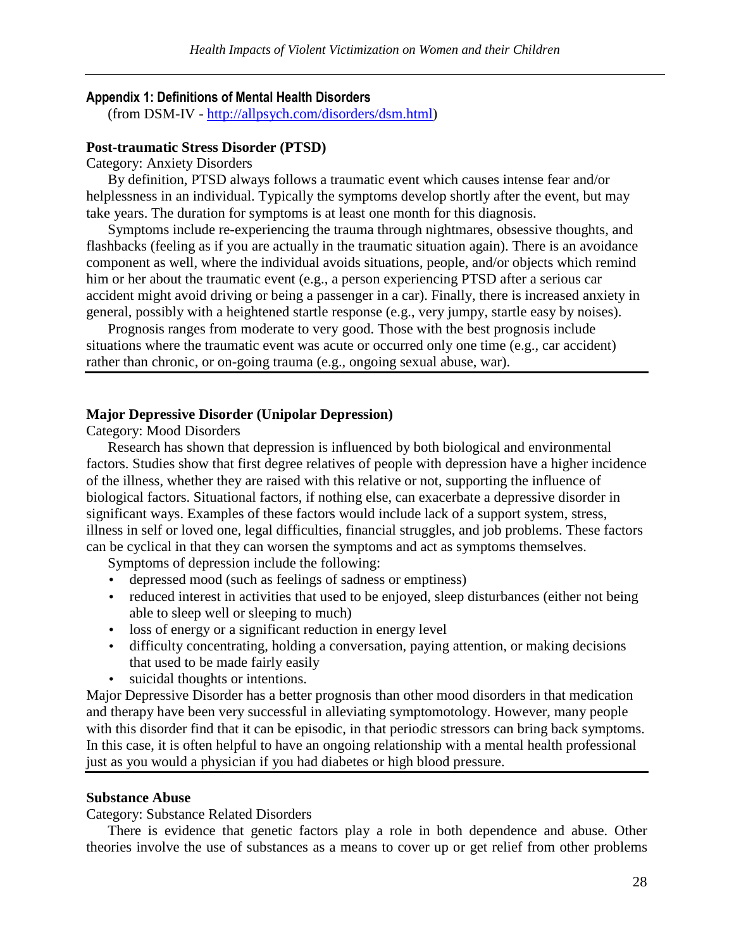#### Appendix 1: Definitions of Mental Health Disorders

(from DSM-IV - http://allpsych.com/disorders/dsm.html)

#### **Post-traumatic Stress Disorder (PTSD)**

Category: Anxiety Disorders

By definition, PTSD always follows a traumatic event which causes intense fear and/or helplessness in an individual. Typically the symptoms develop shortly after the event, but may take years. The duration for symptoms is at least one month for this diagnosis.

Symptoms include re-experiencing the trauma through nightmares, obsessive thoughts, and flashbacks (feeling as if you are actually in the traumatic situation again). There is an avoidance component as well, where the individual avoids situations, people, and/or objects which remind him or her about the traumatic event (e.g., a person experiencing PTSD after a serious car accident might avoid driving or being a passenger in a car). Finally, there is increased anxiety in general, possibly with a heightened startle response (e.g., very jumpy, startle easy by noises).

Prognosis ranges from moderate to very good. Those with the best prognosis include situations where the traumatic event was acute or occurred only one time (e.g., car accident) rather than chronic, or on-going trauma (e.g., ongoing sexual abuse, war).

#### **Major Depressive Disorder (Unipolar Depression)**

Category: Mood Disorders

Research has shown that depression is influenced by both biological and environmental factors. Studies show that first degree relatives of people with depression have a higher incidence of the illness, whether they are raised with this relative or not, supporting the influence of biological factors. Situational factors, if nothing else, can exacerbate a depressive disorder in significant ways. Examples of these factors would include lack of a support system, stress, illness in self or loved one, legal difficulties, financial struggles, and job problems. These factors can be cyclical in that they can worsen the symptoms and act as symptoms themselves.

Symptoms of depression include the following:

- depressed mood (such as feelings of sadness or emptiness)
- reduced interest in activities that used to be enjoyed, sleep disturbances (either not being able to sleep well or sleeping to much)
- loss of energy or a significant reduction in energy level
- difficulty concentrating, holding a conversation, paying attention, or making decisions that used to be made fairly easily
- suicidal thoughts or intentions.

Major Depressive Disorder has a better prognosis than other mood disorders in that medication and therapy have been very successful in alleviating symptomotology. However, many people with this disorder find that it can be episodic, in that periodic stressors can bring back symptoms. In this case, it is often helpful to have an ongoing relationship with a mental health professional just as you would a physician if you had diabetes or high blood pressure.

#### **Substance Abuse**

Category: Substance Related Disorders

There is evidence that genetic factors play a role in both dependence and abuse. Other theories involve the use of substances as a means to cover up or get relief from other problems